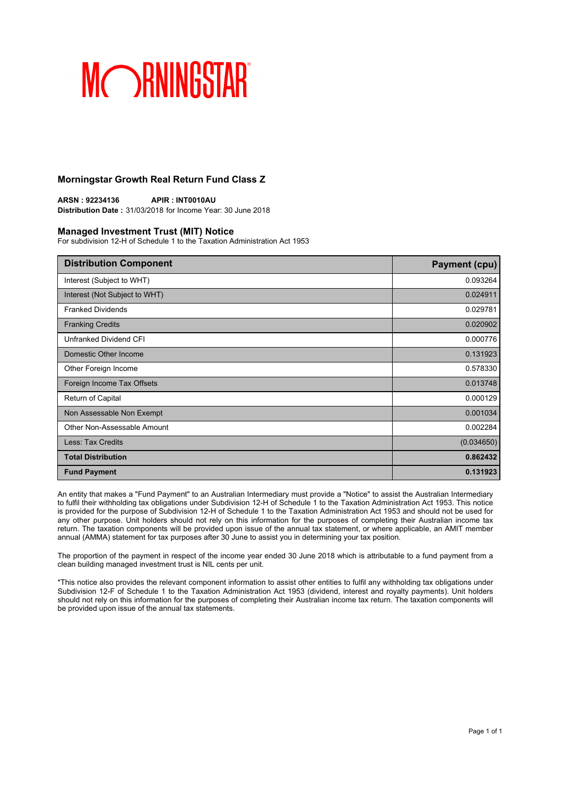### **Morningstar Growth Real Return Fund Class Z**

**ARSN : 92234136 APIR : INT0010AU Distribution Date :** 31/03/2018 for Income Year: 30 June 2018

#### **Managed Investment Trust (MIT) Notice**

For subdivision 12-H of Schedule 1 to the Taxation Administration Act 1953

| <b>Distribution Component</b> | <b>Payment (cpu)</b> |
|-------------------------------|----------------------|
| Interest (Subject to WHT)     | 0.093264             |
| Interest (Not Subject to WHT) | 0.024911             |
| <b>Franked Dividends</b>      | 0.029781             |
| <b>Franking Credits</b>       | 0.020902             |
| Unfranked Dividend CFI        | 0.000776             |
| Domestic Other Income         | 0.131923             |
| Other Foreign Income          | 0.578330             |
| Foreign Income Tax Offsets    | 0.013748             |
| Return of Capital             | 0.000129             |
| Non Assessable Non Exempt     | 0.001034             |
| Other Non-Assessable Amount   | 0.002284             |
| Less: Tax Credits             | (0.034650)           |
| <b>Total Distribution</b>     | 0.862432             |
| <b>Fund Payment</b>           | 0.131923             |

An entity that makes a "Fund Payment" to an Australian Intermediary must provide a "Notice" to assist the Australian Intermediary to fulfil their withholding tax obligations under Subdivision 12-H of Schedule 1 to the Taxation Administration Act 1953. This notice is provided for the purpose of Subdivision 12-H of Schedule 1 to the Taxation Administration Act 1953 and should not be used for any other purpose. Unit holders should not rely on this information for the purposes of completing their Australian income tax return. The taxation components will be provided upon issue of the annual tax statement, or where applicable, an AMIT member annual (AMMA) statement for tax purposes after 30 June to assist you in determining your tax position.

The proportion of the payment in respect of the income year ended 30 June 2018 which is attributable to a fund payment from a clean building managed investment trust is NIL cents per unit.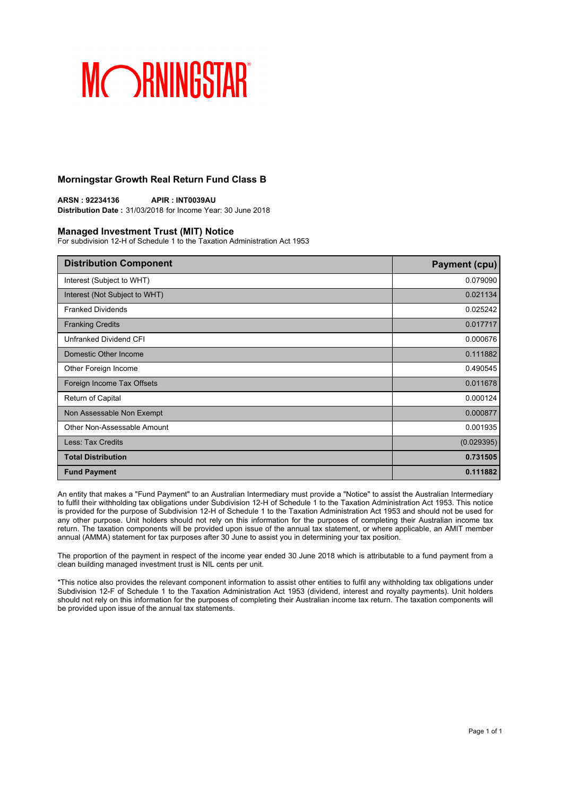### **Morningstar Growth Real Return Fund Class B**

**ARSN : 92234136 APIR : INT0039AU Distribution Date :** 31/03/2018 for Income Year: 30 June 2018

#### **Managed Investment Trust (MIT) Notice**

For subdivision 12-H of Schedule 1 to the Taxation Administration Act 1953

| <b>Distribution Component</b> | <b>Payment (cpu)</b> |
|-------------------------------|----------------------|
| Interest (Subject to WHT)     | 0.079090             |
| Interest (Not Subject to WHT) | 0.021134             |
| <b>Franked Dividends</b>      | 0.025242             |
| <b>Franking Credits</b>       | 0.017717             |
| Unfranked Dividend CFI        | 0.000676             |
| Domestic Other Income         | 0.111882             |
| Other Foreign Income          | 0.490545             |
| Foreign Income Tax Offsets    | 0.011678             |
| Return of Capital             | 0.000124             |
| Non Assessable Non Exempt     | 0.000877             |
| Other Non-Assessable Amount   | 0.001935             |
| Less: Tax Credits             | (0.029395)           |
| <b>Total Distribution</b>     | 0.731505             |
| <b>Fund Payment</b>           | 0.111882             |

An entity that makes a "Fund Payment" to an Australian Intermediary must provide a "Notice" to assist the Australian Intermediary to fulfil their withholding tax obligations under Subdivision 12-H of Schedule 1 to the Taxation Administration Act 1953. This notice is provided for the purpose of Subdivision 12-H of Schedule 1 to the Taxation Administration Act 1953 and should not be used for any other purpose. Unit holders should not rely on this information for the purposes of completing their Australian income tax return. The taxation components will be provided upon issue of the annual tax statement, or where applicable, an AMIT member annual (AMMA) statement for tax purposes after 30 June to assist you in determining your tax position.

The proportion of the payment in respect of the income year ended 30 June 2018 which is attributable to a fund payment from a clean building managed investment trust is NIL cents per unit.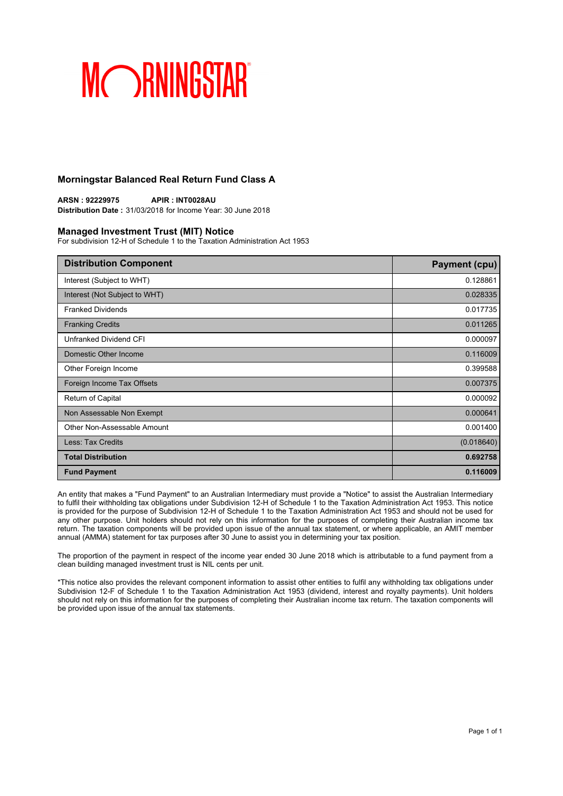### **Morningstar Balanced Real Return Fund Class A**

**ARSN : 92229975 APIR : INT0028AU Distribution Date :** 31/03/2018 for Income Year: 30 June 2018

#### **Managed Investment Trust (MIT) Notice**

For subdivision 12-H of Schedule 1 to the Taxation Administration Act 1953

| <b>Distribution Component</b> | <b>Payment (cpu)</b> |
|-------------------------------|----------------------|
| Interest (Subject to WHT)     | 0.128861             |
| Interest (Not Subject to WHT) | 0.028335             |
| <b>Franked Dividends</b>      | 0.017735             |
| <b>Franking Credits</b>       | 0.011265             |
| Unfranked Dividend CFI        | 0.000097             |
| Domestic Other Income         | 0.116009             |
| Other Foreign Income          | 0.399588             |
| Foreign Income Tax Offsets    | 0.007375             |
| Return of Capital             | 0.000092             |
| Non Assessable Non Exempt     | 0.000641             |
| Other Non-Assessable Amount   | 0.001400             |
| <b>Less: Tax Credits</b>      | (0.018640)           |
| <b>Total Distribution</b>     | 0.692758             |
| <b>Fund Payment</b>           | 0.116009             |

An entity that makes a "Fund Payment" to an Australian Intermediary must provide a "Notice" to assist the Australian Intermediary to fulfil their withholding tax obligations under Subdivision 12-H of Schedule 1 to the Taxation Administration Act 1953. This notice is provided for the purpose of Subdivision 12-H of Schedule 1 to the Taxation Administration Act 1953 and should not be used for any other purpose. Unit holders should not rely on this information for the purposes of completing their Australian income tax return. The taxation components will be provided upon issue of the annual tax statement, or where applicable, an AMIT member annual (AMMA) statement for tax purposes after 30 June to assist you in determining your tax position.

The proportion of the payment in respect of the income year ended 30 June 2018 which is attributable to a fund payment from a clean building managed investment trust is NIL cents per unit.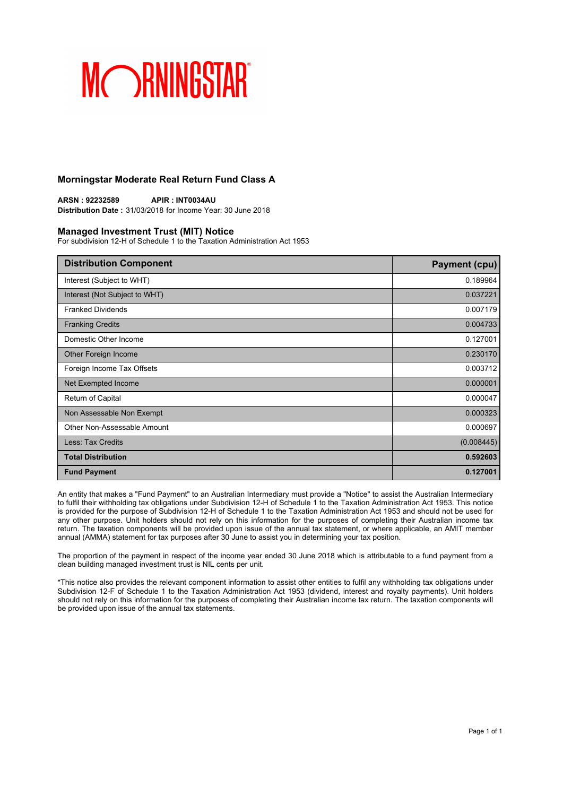### **Morningstar Moderate Real Return Fund Class A**

**ARSN : 92232589 APIR : INT0034AU Distribution Date :** 31/03/2018 for Income Year: 30 June 2018

#### **Managed Investment Trust (MIT) Notice**

For subdivision 12-H of Schedule 1 to the Taxation Administration Act 1953

| <b>Distribution Component</b> | <b>Payment (cpu)</b> |
|-------------------------------|----------------------|
| Interest (Subject to WHT)     | 0.189964             |
| Interest (Not Subject to WHT) | 0.037221             |
| <b>Franked Dividends</b>      | 0.007179             |
| <b>Franking Credits</b>       | 0.004733             |
| Domestic Other Income         | 0.127001             |
| Other Foreign Income          | 0.230170             |
| Foreign Income Tax Offsets    | 0.003712             |
| Net Exempted Income           | 0.000001             |
| Return of Capital             | 0.000047             |
| Non Assessable Non Exempt     | 0.000323             |
| Other Non-Assessable Amount   | 0.000697             |
| Less: Tax Credits             | (0.008445)           |
| <b>Total Distribution</b>     | 0.592603             |
| <b>Fund Payment</b>           | 0.127001             |

An entity that makes a "Fund Payment" to an Australian Intermediary must provide a "Notice" to assist the Australian Intermediary to fulfil their withholding tax obligations under Subdivision 12-H of Schedule 1 to the Taxation Administration Act 1953. This notice is provided for the purpose of Subdivision 12-H of Schedule 1 to the Taxation Administration Act 1953 and should not be used for any other purpose. Unit holders should not rely on this information for the purposes of completing their Australian income tax return. The taxation components will be provided upon issue of the annual tax statement, or where applicable, an AMIT member annual (AMMA) statement for tax purposes after 30 June to assist you in determining your tax position.

The proportion of the payment in respect of the income year ended 30 June 2018 which is attributable to a fund payment from a clean building managed investment trust is NIL cents per unit.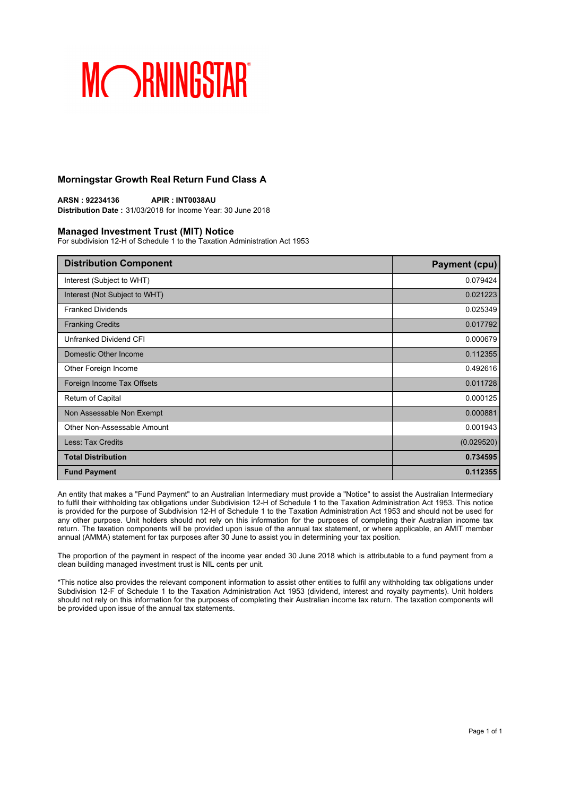### **Morningstar Growth Real Return Fund Class A**

**ARSN : 92234136 APIR : INT0038AU Distribution Date :** 31/03/2018 for Income Year: 30 June 2018

#### **Managed Investment Trust (MIT) Notice**

For subdivision 12-H of Schedule 1 to the Taxation Administration Act 1953

| <b>Distribution Component</b> | <b>Payment (cpu)</b> |
|-------------------------------|----------------------|
| Interest (Subject to WHT)     | 0.079424             |
| Interest (Not Subject to WHT) | 0.021223             |
| <b>Franked Dividends</b>      | 0.025349             |
| <b>Franking Credits</b>       | 0.017792             |
| Unfranked Dividend CFI        | 0.000679             |
| Domestic Other Income         | 0.112355             |
| Other Foreign Income          | 0.492616             |
| Foreign Income Tax Offsets    | 0.011728             |
| Return of Capital             | 0.000125             |
| Non Assessable Non Exempt     | 0.000881             |
| Other Non-Assessable Amount   | 0.001943             |
| Less: Tax Credits             | (0.029520)           |
| <b>Total Distribution</b>     | 0.734595             |
| <b>Fund Payment</b>           | 0.112355             |

An entity that makes a "Fund Payment" to an Australian Intermediary must provide a "Notice" to assist the Australian Intermediary to fulfil their withholding tax obligations under Subdivision 12-H of Schedule 1 to the Taxation Administration Act 1953. This notice is provided for the purpose of Subdivision 12-H of Schedule 1 to the Taxation Administration Act 1953 and should not be used for any other purpose. Unit holders should not rely on this information for the purposes of completing their Australian income tax return. The taxation components will be provided upon issue of the annual tax statement, or where applicable, an AMIT member annual (AMMA) statement for tax purposes after 30 June to assist you in determining your tax position.

The proportion of the payment in respect of the income year ended 30 June 2018 which is attributable to a fund payment from a clean building managed investment trust is NIL cents per unit.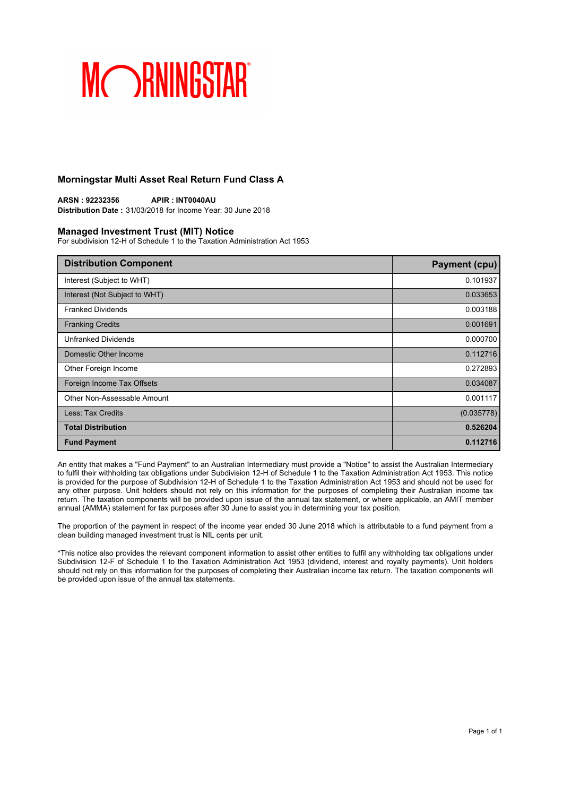### **Morningstar Multi Asset Real Return Fund Class A**

**ARSN : 92232356 APIR : INT0040AU Distribution Date :** 31/03/2018 for Income Year: 30 June 2018

#### **Managed Investment Trust (MIT) Notice**

For subdivision 12-H of Schedule 1 to the Taxation Administration Act 1953

| <b>Distribution Component</b> | <b>Payment (cpu)</b> |
|-------------------------------|----------------------|
| Interest (Subject to WHT)     | 0.101937             |
| Interest (Not Subject to WHT) | 0.033653             |
| <b>Franked Dividends</b>      | 0.003188             |
| <b>Franking Credits</b>       | 0.001691             |
| <b>Unfranked Dividends</b>    | 0.000700             |
| Domestic Other Income         | 0.112716             |
| Other Foreign Income          | 0.272893             |
| Foreign Income Tax Offsets    | 0.034087             |
| Other Non-Assessable Amount   | 0.001117             |
| Less: Tax Credits             | (0.035778)           |
| <b>Total Distribution</b>     | 0.526204             |
| <b>Fund Payment</b>           | 0.112716             |

An entity that makes a "Fund Payment" to an Australian Intermediary must provide a "Notice" to assist the Australian Intermediary to fulfil their withholding tax obligations under Subdivision 12-H of Schedule 1 to the Taxation Administration Act 1953. This notice is provided for the purpose of Subdivision 12-H of Schedule 1 to the Taxation Administration Act 1953 and should not be used for any other purpose. Unit holders should not rely on this information for the purposes of completing their Australian income tax return. The taxation components will be provided upon issue of the annual tax statement, or where applicable, an AMIT member annual (AMMA) statement for tax purposes after 30 June to assist you in determining your tax position.

The proportion of the payment in respect of the income year ended 30 June 2018 which is attributable to a fund payment from a clean building managed investment trust is NIL cents per unit.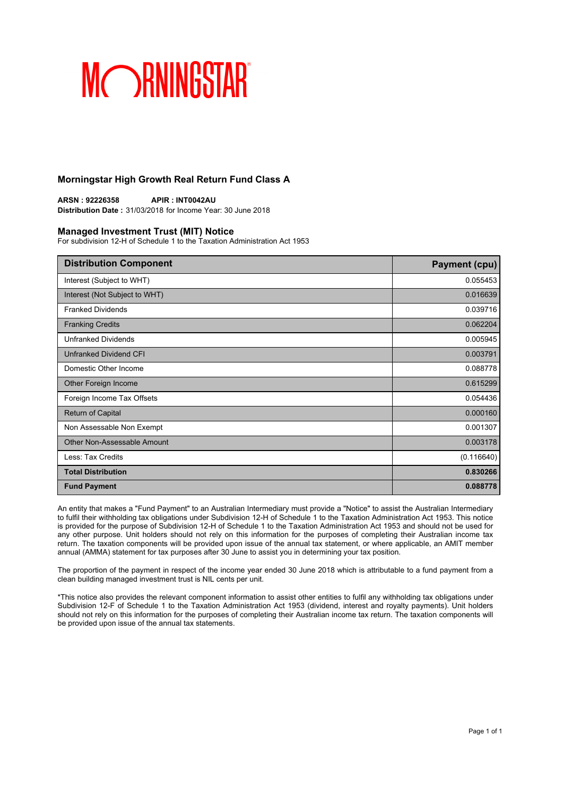### **Morningstar High Growth Real Return Fund Class A**

**ARSN : 92226358 APIR : INT0042AU Distribution Date :** 31/03/2018 for Income Year: 30 June 2018

#### **Managed Investment Trust (MIT) Notice**

For subdivision 12-H of Schedule 1 to the Taxation Administration Act 1953

| <b>Distribution Component</b> | Payment (cpu) |
|-------------------------------|---------------|
| Interest (Subject to WHT)     | 0.055453      |
| Interest (Not Subject to WHT) | 0.016639      |
| <b>Franked Dividends</b>      | 0.039716      |
| <b>Franking Credits</b>       | 0.062204      |
| <b>Unfranked Dividends</b>    | 0.005945      |
| Unfranked Dividend CFI        | 0.003791      |
| Domestic Other Income         | 0.088778      |
| Other Foreign Income          | 0.615299      |
| Foreign Income Tax Offsets    | 0.054436      |
| <b>Return of Capital</b>      | 0.000160      |
| Non Assessable Non Exempt     | 0.001307      |
| Other Non-Assessable Amount   | 0.003178      |
| Less: Tax Credits             | (0.116640)    |
| <b>Total Distribution</b>     | 0.830266      |
| <b>Fund Payment</b>           | 0.088778      |

An entity that makes a "Fund Payment" to an Australian Intermediary must provide a "Notice" to assist the Australian Intermediary to fulfil their withholding tax obligations under Subdivision 12-H of Schedule 1 to the Taxation Administration Act 1953. This notice is provided for the purpose of Subdivision 12-H of Schedule 1 to the Taxation Administration Act 1953 and should not be used for any other purpose. Unit holders should not rely on this information for the purposes of completing their Australian income tax return. The taxation components will be provided upon issue of the annual tax statement, or where applicable, an AMIT member annual (AMMA) statement for tax purposes after 30 June to assist you in determining your tax position.

The proportion of the payment in respect of the income year ended 30 June 2018 which is attributable to a fund payment from a clean building managed investment trust is NIL cents per unit.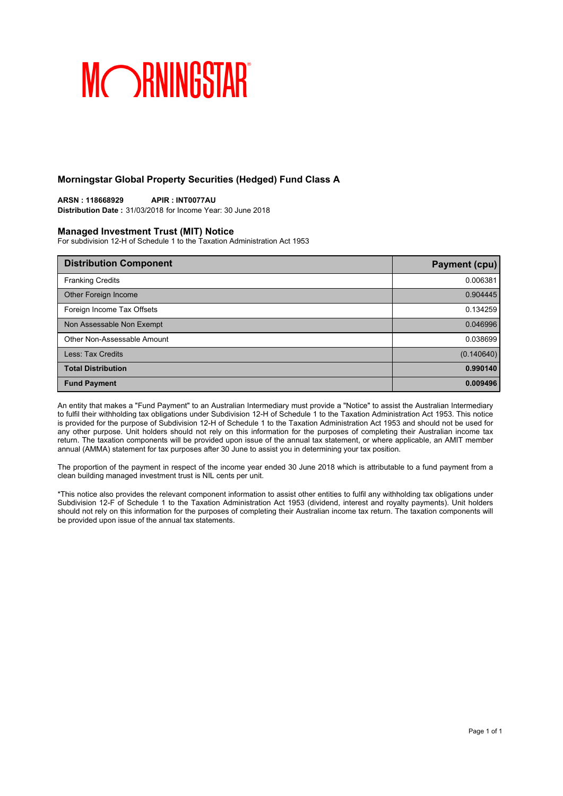### **Morningstar Global Property Securities (Hedged) Fund Class A**

**ARSN : 118668929 APIR : INT0077AU Distribution Date :** 31/03/2018 for Income Year: 30 June 2018

#### **Managed Investment Trust (MIT) Notice**

For subdivision 12-H of Schedule 1 to the Taxation Administration Act 1953

| <b>Distribution Component</b> | Payment (cpu) |
|-------------------------------|---------------|
| <b>Franking Credits</b>       | 0.006381      |
| Other Foreign Income          | 0.904445      |
| Foreign Income Tax Offsets    | 0.134259      |
| Non Assessable Non Exempt     | 0.046996      |
| Other Non-Assessable Amount   | 0.038699      |
| Less: Tax Credits             | (0.140640)    |
| <b>Total Distribution</b>     | 0.990140      |
| <b>Fund Payment</b>           | 0.009496      |

An entity that makes a "Fund Payment" to an Australian Intermediary must provide a "Notice" to assist the Australian Intermediary to fulfil their withholding tax obligations under Subdivision 12-H of Schedule 1 to the Taxation Administration Act 1953. This notice is provided for the purpose of Subdivision 12-H of Schedule 1 to the Taxation Administration Act 1953 and should not be used for any other purpose. Unit holders should not rely on this information for the purposes of completing their Australian income tax return. The taxation components will be provided upon issue of the annual tax statement, or where applicable, an AMIT member annual (AMMA) statement for tax purposes after 30 June to assist you in determining your tax position.

The proportion of the payment in respect of the income year ended 30 June 2018 which is attributable to a fund payment from a clean building managed investment trust is NIL cents per unit.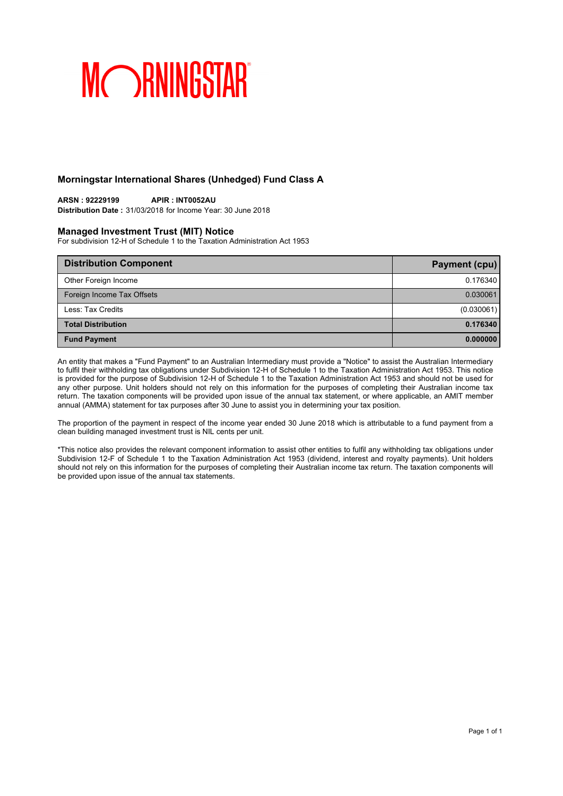### **Morningstar International Shares (Unhedged) Fund Class A**

## **ARSN : 92229199 APIR : INT0052AU**

**Distribution Date :** 31/03/2018 for Income Year: 30 June 2018

#### **Managed Investment Trust (MIT) Notice**

For subdivision 12-H of Schedule 1 to the Taxation Administration Act 1953

| <b>Distribution Component</b> | Payment (cpu) |
|-------------------------------|---------------|
| Other Foreign Income          | 0.176340      |
| Foreign Income Tax Offsets    | 0.030061      |
| Less: Tax Credits             | (0.030061)    |
| <b>Total Distribution</b>     | 0.176340      |
| <b>Fund Payment</b>           | 0.000000      |

An entity that makes a "Fund Payment" to an Australian Intermediary must provide a "Notice" to assist the Australian Intermediary to fulfil their withholding tax obligations under Subdivision 12-H of Schedule 1 to the Taxation Administration Act 1953. This notice is provided for the purpose of Subdivision 12-H of Schedule 1 to the Taxation Administration Act 1953 and should not be used for any other purpose. Unit holders should not rely on this information for the purposes of completing their Australian income tax return. The taxation components will be provided upon issue of the annual tax statement, or where applicable, an AMIT member annual (AMMA) statement for tax purposes after 30 June to assist you in determining your tax position.

The proportion of the payment in respect of the income year ended 30 June 2018 which is attributable to a fund payment from a clean building managed investment trust is NIL cents per unit.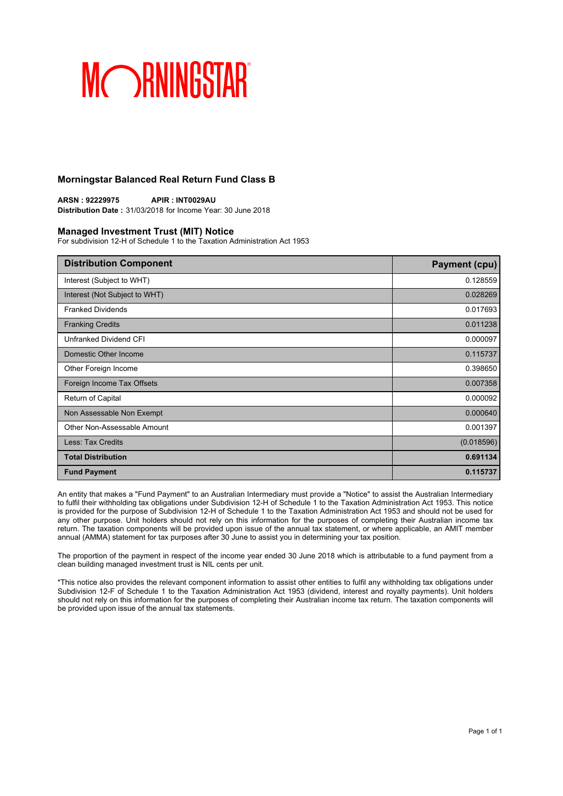### **Morningstar Balanced Real Return Fund Class B**

**ARSN : 92229975 APIR : INT0029AU Distribution Date :** 31/03/2018 for Income Year: 30 June 2018

#### **Managed Investment Trust (MIT) Notice**

For subdivision 12-H of Schedule 1 to the Taxation Administration Act 1953

| <b>Distribution Component</b> | <b>Payment (cpu)</b> |
|-------------------------------|----------------------|
| Interest (Subject to WHT)     | 0.128559             |
| Interest (Not Subject to WHT) | 0.028269             |
| <b>Franked Dividends</b>      | 0.017693             |
| <b>Franking Credits</b>       | 0.011238             |
| Unfranked Dividend CFI        | 0.000097             |
| Domestic Other Income         | 0.115737             |
| Other Foreign Income          | 0.398650             |
| Foreign Income Tax Offsets    | 0.007358             |
| Return of Capital             | 0.000092             |
| Non Assessable Non Exempt     | 0.000640             |
| Other Non-Assessable Amount   | 0.001397             |
| Less: Tax Credits             | (0.018596)           |
| <b>Total Distribution</b>     | 0.691134             |
| <b>Fund Payment</b>           | 0.115737             |

An entity that makes a "Fund Payment" to an Australian Intermediary must provide a "Notice" to assist the Australian Intermediary to fulfil their withholding tax obligations under Subdivision 12-H of Schedule 1 to the Taxation Administration Act 1953. This notice is provided for the purpose of Subdivision 12-H of Schedule 1 to the Taxation Administration Act 1953 and should not be used for any other purpose. Unit holders should not rely on this information for the purposes of completing their Australian income tax return. The taxation components will be provided upon issue of the annual tax statement, or where applicable, an AMIT member annual (AMMA) statement for tax purposes after 30 June to assist you in determining your tax position.

The proportion of the payment in respect of the income year ended 30 June 2018 which is attributable to a fund payment from a clean building managed investment trust is NIL cents per unit.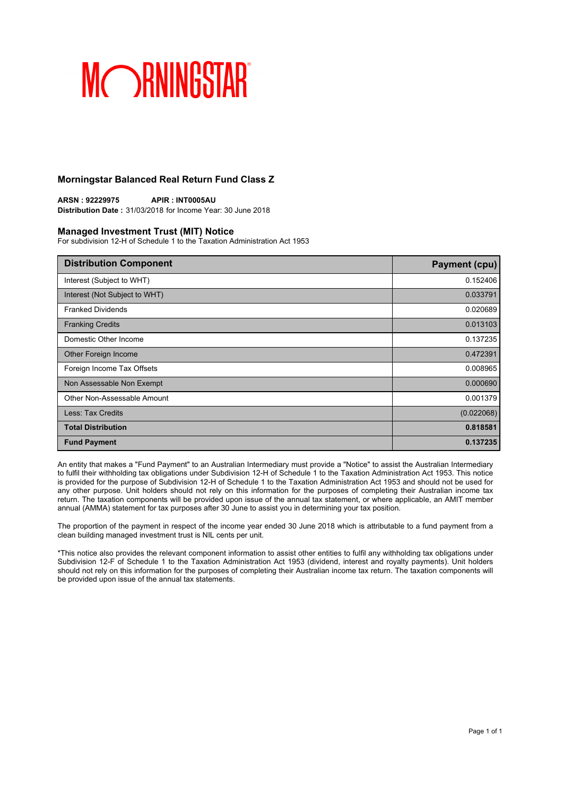### **Morningstar Balanced Real Return Fund Class Z**

**ARSN : 92229975 APIR : INT0005AU Distribution Date :** 31/03/2018 for Income Year: 30 June 2018

#### **Managed Investment Trust (MIT) Notice**

For subdivision 12-H of Schedule 1 to the Taxation Administration Act 1953

| <b>Distribution Component</b> | <b>Payment (cpu)</b> |
|-------------------------------|----------------------|
| Interest (Subject to WHT)     | 0.152406             |
| Interest (Not Subject to WHT) | 0.033791             |
| <b>Franked Dividends</b>      | 0.020689             |
| <b>Franking Credits</b>       | 0.013103             |
| Domestic Other Income         | 0.137235             |
| Other Foreign Income          | 0.472391             |
| Foreign Income Tax Offsets    | 0.008965             |
| Non Assessable Non Exempt     | 0.000690             |
| Other Non-Assessable Amount   | 0.001379             |
| Less: Tax Credits             | (0.022068)           |
| <b>Total Distribution</b>     | 0.818581             |
| <b>Fund Payment</b>           | 0.137235             |

An entity that makes a "Fund Payment" to an Australian Intermediary must provide a "Notice" to assist the Australian Intermediary to fulfil their withholding tax obligations under Subdivision 12-H of Schedule 1 to the Taxation Administration Act 1953. This notice is provided for the purpose of Subdivision 12-H of Schedule 1 to the Taxation Administration Act 1953 and should not be used for any other purpose. Unit holders should not rely on this information for the purposes of completing their Australian income tax return. The taxation components will be provided upon issue of the annual tax statement, or where applicable, an AMIT member annual (AMMA) statement for tax purposes after 30 June to assist you in determining your tax position.

The proportion of the payment in respect of the income year ended 30 June 2018 which is attributable to a fund payment from a clean building managed investment trust is NIL cents per unit.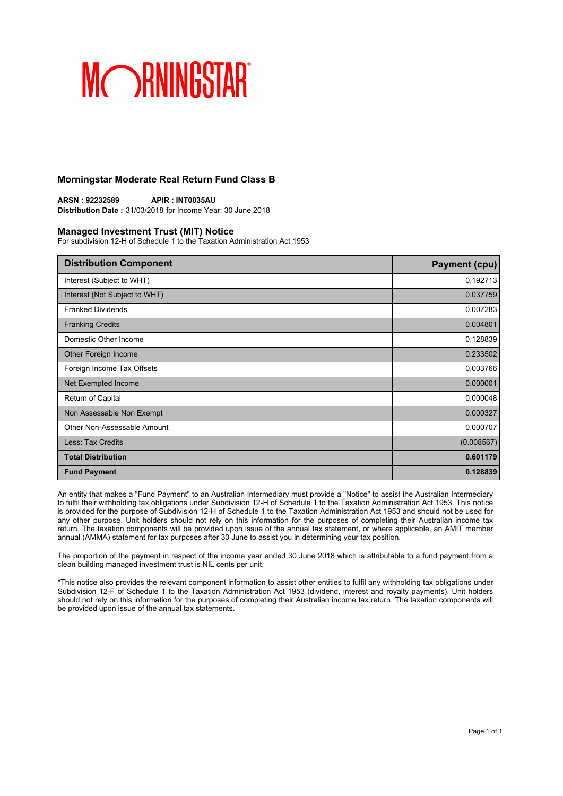### **Morningstar Moderate Real Return Fund Class B**

**ARSN : 92232589 APIR : INT0035AU Distribution Date :** 31/03/2018 for Income Year: 30 June 2018

#### **Managed Investment Trust (MIT) Notice**

For subdivision 12-H of Schedule 1 to the Taxation Administration Act 1953

| <b>Distribution Component</b> | <b>Payment (cpu)</b> |
|-------------------------------|----------------------|
| Interest (Subject to WHT)     | 0.192713             |
| Interest (Not Subject to WHT) | 0.037759             |
| <b>Franked Dividends</b>      | 0.007283             |
| <b>Franking Credits</b>       | 0.004801             |
| Domestic Other Income         | 0.128839             |
| Other Foreign Income          | 0.233502             |
| Foreign Income Tax Offsets    | 0.003766             |
| Net Exempted Income           | 0.000001             |
| Return of Capital             | 0.000048             |
| Non Assessable Non Exempt     | 0.000327             |
| Other Non-Assessable Amount   | 0.000707             |
| <b>Less: Tax Credits</b>      | (0.008567)           |
| <b>Total Distribution</b>     | 0.601179             |
| <b>Fund Payment</b>           | 0.128839             |

An entity that makes a "Fund Payment" to an Australian Intermediary must provide a "Notice" to assist the Australian Intermediary to fulfil their withholding tax obligations under Subdivision 12-H of Schedule 1 to the Taxation Administration Act 1953. This notice is provided for the purpose of Subdivision 12-H of Schedule 1 to the Taxation Administration Act 1953 and should not be used for any other purpose. Unit holders should not rely on this information for the purposes of completing their Australian income tax return. The taxation components will be provided upon issue of the annual tax statement, or where applicable, an AMIT member annual (AMMA) statement for tax purposes after 30 June to assist you in determining your tax position.

The proportion of the payment in respect of the income year ended 30 June 2018 which is attributable to a fund payment from a clean building managed investment trust is NIL cents per unit.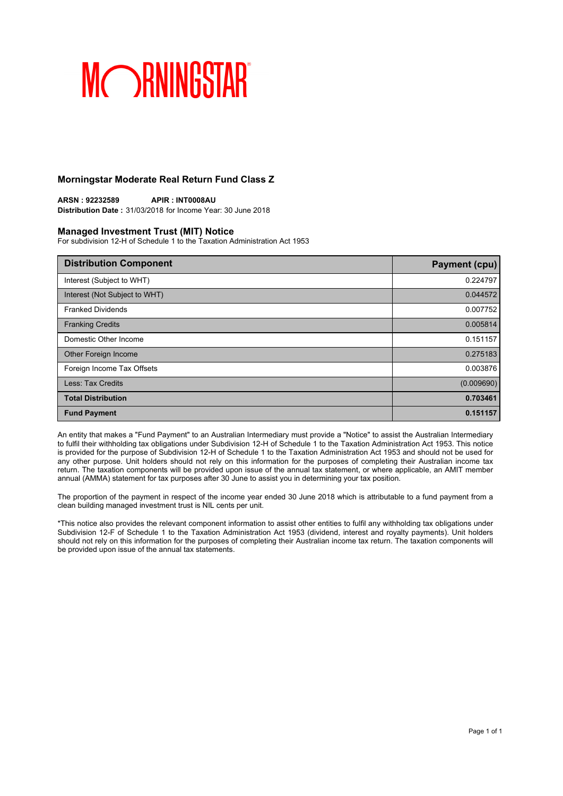### **Morningstar Moderate Real Return Fund Class Z**

**ARSN : 92232589 APIR : INT0008AU Distribution Date :** 31/03/2018 for Income Year: 30 June 2018

#### **Managed Investment Trust (MIT) Notice**

For subdivision 12-H of Schedule 1 to the Taxation Administration Act 1953

| <b>Distribution Component</b> | <b>Payment (cpu)</b> |
|-------------------------------|----------------------|
| Interest (Subject to WHT)     | 0.224797             |
| Interest (Not Subject to WHT) | 0.044572             |
| <b>Franked Dividends</b>      | 0.007752             |
| <b>Franking Credits</b>       | 0.005814             |
| Domestic Other Income         | 0.151157             |
| Other Foreign Income          | 0.275183             |
| Foreign Income Tax Offsets    | 0.003876             |
| Less: Tax Credits             | (0.009690)           |
| <b>Total Distribution</b>     | 0.703461             |
| <b>Fund Payment</b>           | 0.151157             |

An entity that makes a "Fund Payment" to an Australian Intermediary must provide a "Notice" to assist the Australian Intermediary to fulfil their withholding tax obligations under Subdivision 12-H of Schedule 1 to the Taxation Administration Act 1953. This notice is provided for the purpose of Subdivision 12-H of Schedule 1 to the Taxation Administration Act 1953 and should not be used for any other purpose. Unit holders should not rely on this information for the purposes of completing their Australian income tax return. The taxation components will be provided upon issue of the annual tax statement, or where applicable, an AMIT member annual (AMMA) statement for tax purposes after 30 June to assist you in determining your tax position.

The proportion of the payment in respect of the income year ended 30 June 2018 which is attributable to a fund payment from a clean building managed investment trust is NIL cents per unit.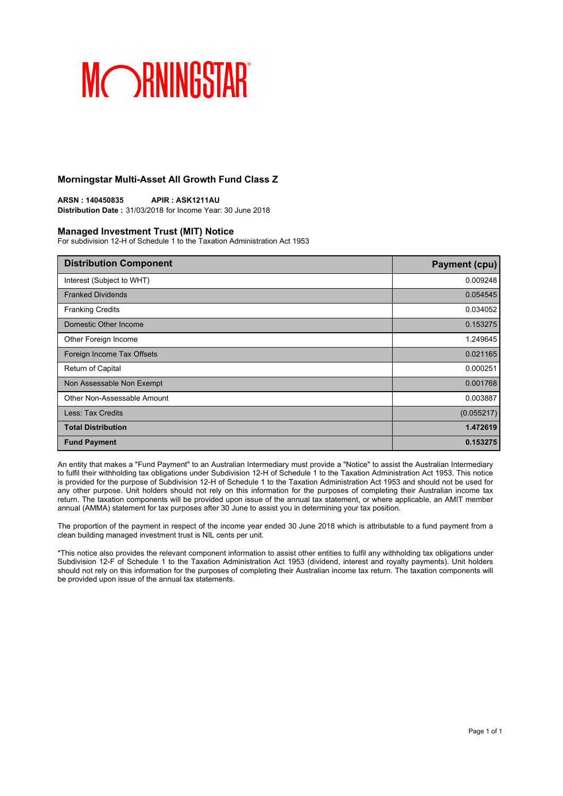### **Morningstar Multi-Asset All Growth Fund Class Z**

**ARSN : 140450835 APIR : ASK1211AU Distribution Date :** 31/03/2018 for Income Year: 30 June 2018

#### **Managed Investment Trust (MIT) Notice**

For subdivision 12-H of Schedule 1 to the Taxation Administration Act 1953

| <b>Distribution Component</b> | <b>Payment (cpu)</b> |
|-------------------------------|----------------------|
| Interest (Subject to WHT)     | 0.009248             |
| <b>Franked Dividends</b>      | 0.054545             |
| <b>Franking Credits</b>       | 0.034052             |
| Domestic Other Income         | 0.153275             |
| Other Foreign Income          | 1.249645             |
| Foreign Income Tax Offsets    | 0.021165             |
| Return of Capital             | 0.000251             |
| Non Assessable Non Exempt     | 0.001768             |
| Other Non-Assessable Amount   | 0.003887             |
| <b>Less: Tax Credits</b>      | (0.055217)           |
| <b>Total Distribution</b>     | 1.472619             |
| <b>Fund Payment</b>           | 0.153275             |

An entity that makes a "Fund Payment" to an Australian Intermediary must provide a "Notice" to assist the Australian Intermediary to fulfil their withholding tax obligations under Subdivision 12-H of Schedule 1 to the Taxation Administration Act 1953. This notice is provided for the purpose of Subdivision 12-H of Schedule 1 to the Taxation Administration Act 1953 and should not be used for any other purpose. Unit holders should not rely on this information for the purposes of completing their Australian income tax return. The taxation components will be provided upon issue of the annual tax statement, or where applicable, an AMIT member annual (AMMA) statement for tax purposes after 30 June to assist you in determining your tax position.

The proportion of the payment in respect of the income year ended 30 June 2018 which is attributable to a fund payment from a clean building managed investment trust is NIL cents per unit.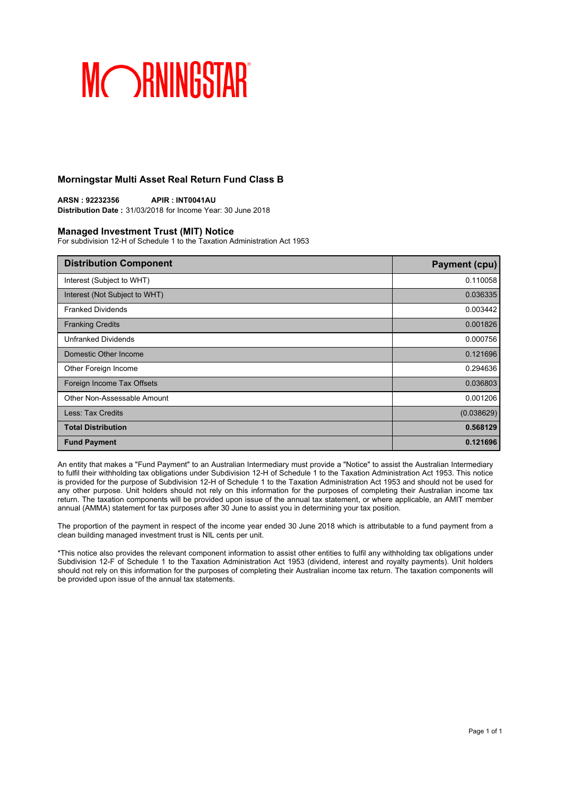### **Morningstar Multi Asset Real Return Fund Class B**

**ARSN : 92232356 APIR : INT0041AU Distribution Date :** 31/03/2018 for Income Year: 30 June 2018

#### **Managed Investment Trust (MIT) Notice**

For subdivision 12-H of Schedule 1 to the Taxation Administration Act 1953

| <b>Distribution Component</b> | <b>Payment (cpu)</b> |
|-------------------------------|----------------------|
| Interest (Subject to WHT)     | 0.110058             |
| Interest (Not Subject to WHT) | 0.036335             |
| <b>Franked Dividends</b>      | 0.003442             |
| <b>Franking Credits</b>       | 0.001826             |
| <b>Unfranked Dividends</b>    | 0.000756             |
| Domestic Other Income         | 0.121696             |
| Other Foreign Income          | 0.294636             |
| Foreign Income Tax Offsets    | 0.036803             |
| Other Non-Assessable Amount   | 0.001206             |
| Less: Tax Credits             | (0.038629)           |
| <b>Total Distribution</b>     | 0.568129             |
| <b>Fund Payment</b>           | 0.121696             |

An entity that makes a "Fund Payment" to an Australian Intermediary must provide a "Notice" to assist the Australian Intermediary to fulfil their withholding tax obligations under Subdivision 12-H of Schedule 1 to the Taxation Administration Act 1953. This notice is provided for the purpose of Subdivision 12-H of Schedule 1 to the Taxation Administration Act 1953 and should not be used for any other purpose. Unit holders should not rely on this information for the purposes of completing their Australian income tax return. The taxation components will be provided upon issue of the annual tax statement, or where applicable, an AMIT member annual (AMMA) statement for tax purposes after 30 June to assist you in determining your tax position.

The proportion of the payment in respect of the income year ended 30 June 2018 which is attributable to a fund payment from a clean building managed investment trust is NIL cents per unit.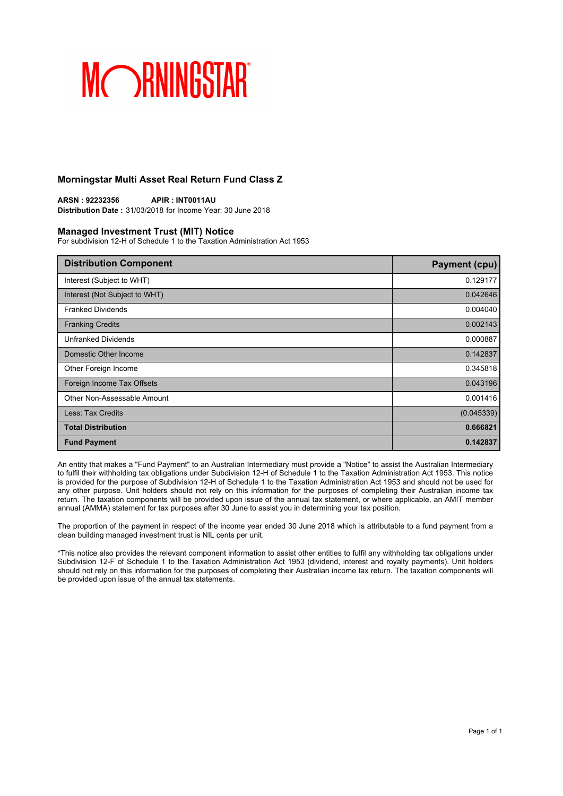### **Morningstar Multi Asset Real Return Fund Class Z**

**ARSN : 92232356 APIR : INT0011AU Distribution Date :** 31/03/2018 for Income Year: 30 June 2018

#### **Managed Investment Trust (MIT) Notice**

For subdivision 12-H of Schedule 1 to the Taxation Administration Act 1953

| <b>Distribution Component</b> | <b>Payment (cpu)</b> |
|-------------------------------|----------------------|
| Interest (Subject to WHT)     | 0.129177             |
| Interest (Not Subject to WHT) | 0.042646             |
| <b>Franked Dividends</b>      | 0.004040             |
| <b>Franking Credits</b>       | 0.002143             |
| <b>Unfranked Dividends</b>    | 0.000887             |
| Domestic Other Income         | 0.142837             |
| Other Foreign Income          | 0.345818             |
| Foreign Income Tax Offsets    | 0.043196             |
| Other Non-Assessable Amount   | 0.001416             |
| Less: Tax Credits             | (0.045339)           |
| <b>Total Distribution</b>     | 0.666821             |
| <b>Fund Payment</b>           | 0.142837             |

An entity that makes a "Fund Payment" to an Australian Intermediary must provide a "Notice" to assist the Australian Intermediary to fulfil their withholding tax obligations under Subdivision 12-H of Schedule 1 to the Taxation Administration Act 1953. This notice is provided for the purpose of Subdivision 12-H of Schedule 1 to the Taxation Administration Act 1953 and should not be used for any other purpose. Unit holders should not rely on this information for the purposes of completing their Australian income tax return. The taxation components will be provided upon issue of the annual tax statement, or where applicable, an AMIT member annual (AMMA) statement for tax purposes after 30 June to assist you in determining your tax position.

The proportion of the payment in respect of the income year ended 30 June 2018 which is attributable to a fund payment from a clean building managed investment trust is NIL cents per unit.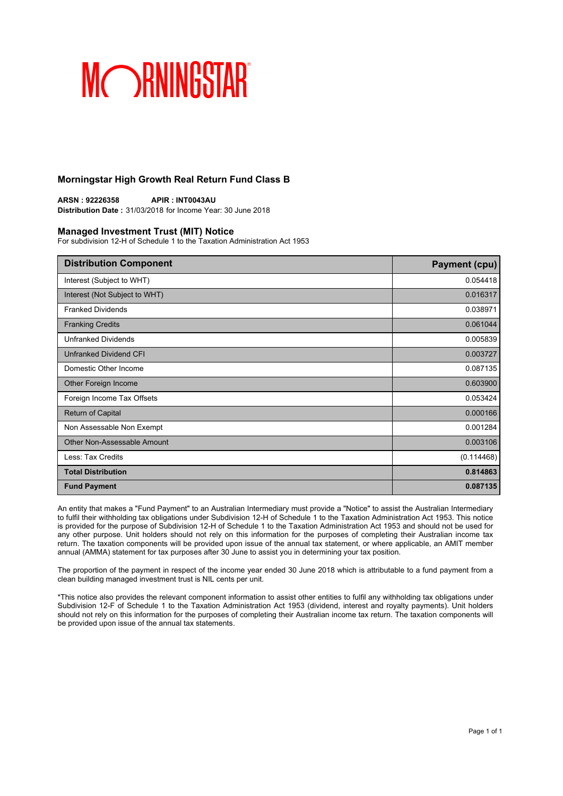### **Morningstar High Growth Real Return Fund Class B**

**ARSN : 92226358 APIR : INT0043AU Distribution Date :** 31/03/2018 for Income Year: 30 June 2018

#### **Managed Investment Trust (MIT) Notice**

For subdivision 12-H of Schedule 1 to the Taxation Administration Act 1953

| <b>Distribution Component</b> | <b>Payment (cpu)</b> |
|-------------------------------|----------------------|
| Interest (Subject to WHT)     | 0.054418             |
| Interest (Not Subject to WHT) | 0.016317             |
| <b>Franked Dividends</b>      | 0.038971             |
| <b>Franking Credits</b>       | 0.061044             |
| <b>Unfranked Dividends</b>    | 0.005839             |
| Unfranked Dividend CFI        | 0.003727             |
| Domestic Other Income         | 0.087135             |
| Other Foreign Income          | 0.603900             |
| Foreign Income Tax Offsets    | 0.053424             |
| Return of Capital             | 0.000166             |
| Non Assessable Non Exempt     | 0.001284             |
| Other Non-Assessable Amount   | 0.003106             |
| Less: Tax Credits             | (0.114468)           |
| <b>Total Distribution</b>     | 0.814863             |
| <b>Fund Payment</b>           | 0.087135             |

An entity that makes a "Fund Payment" to an Australian Intermediary must provide a "Notice" to assist the Australian Intermediary to fulfil their withholding tax obligations under Subdivision 12-H of Schedule 1 to the Taxation Administration Act 1953. This notice is provided for the purpose of Subdivision 12-H of Schedule 1 to the Taxation Administration Act 1953 and should not be used for any other purpose. Unit holders should not rely on this information for the purposes of completing their Australian income tax return. The taxation components will be provided upon issue of the annual tax statement, or where applicable, an AMIT member annual (AMMA) statement for tax purposes after 30 June to assist you in determining your tax position.

The proportion of the payment in respect of the income year ended 30 June 2018 which is attributable to a fund payment from a clean building managed investment trust is NIL cents per unit.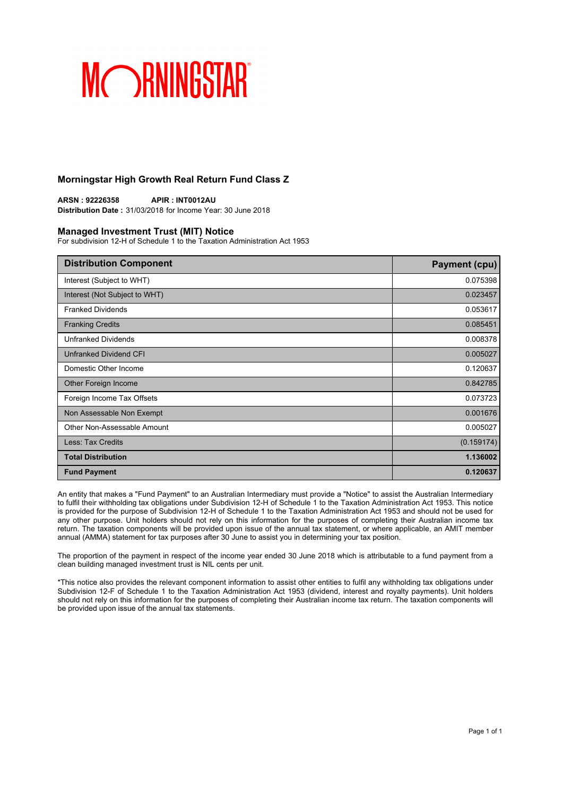### **Morningstar High Growth Real Return Fund Class Z**

**ARSN : 92226358 APIR : INT0012AU Distribution Date :** 31/03/2018 for Income Year: 30 June 2018

#### **Managed Investment Trust (MIT) Notice**

For subdivision 12-H of Schedule 1 to the Taxation Administration Act 1953

| <b>Distribution Component</b> | <b>Payment (cpu)</b> |
|-------------------------------|----------------------|
| Interest (Subject to WHT)     | 0.075398             |
| Interest (Not Subject to WHT) | 0.023457             |
| <b>Franked Dividends</b>      | 0.053617             |
| <b>Franking Credits</b>       | 0.085451             |
| <b>Unfranked Dividends</b>    | 0.008378             |
| Unfranked Dividend CFI        | 0.005027             |
| Domestic Other Income         | 0.120637             |
| Other Foreign Income          | 0.842785             |
| Foreign Income Tax Offsets    | 0.073723             |
| Non Assessable Non Exempt     | 0.001676             |
| Other Non-Assessable Amount   | 0.005027             |
| Less: Tax Credits             | (0.159174)           |
| <b>Total Distribution</b>     | 1.136002             |
| <b>Fund Payment</b>           | 0.120637             |

An entity that makes a "Fund Payment" to an Australian Intermediary must provide a "Notice" to assist the Australian Intermediary to fulfil their withholding tax obligations under Subdivision 12-H of Schedule 1 to the Taxation Administration Act 1953. This notice is provided for the purpose of Subdivision 12-H of Schedule 1 to the Taxation Administration Act 1953 and should not be used for any other purpose. Unit holders should not rely on this information for the purposes of completing their Australian income tax return. The taxation components will be provided upon issue of the annual tax statement, or where applicable, an AMIT member annual (AMMA) statement for tax purposes after 30 June to assist you in determining your tax position.

The proportion of the payment in respect of the income year ended 30 June 2018 which is attributable to a fund payment from a clean building managed investment trust is NIL cents per unit.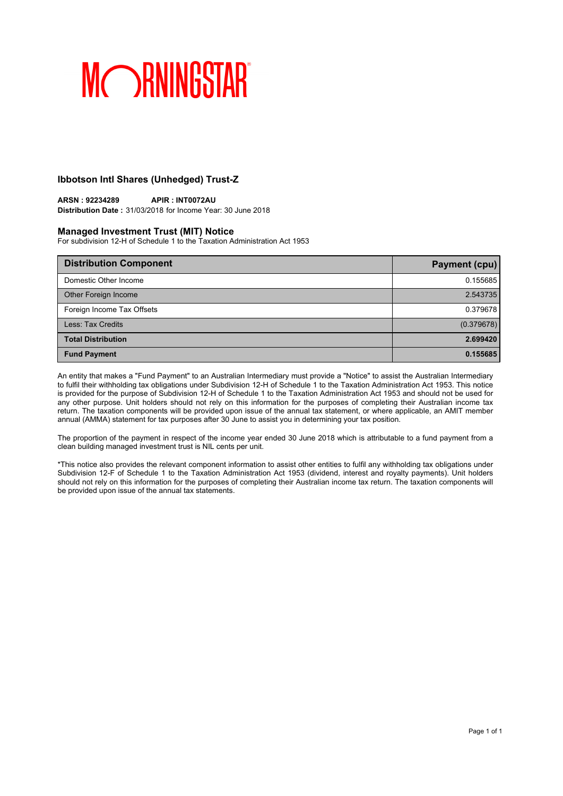### **Ibbotson Intl Shares (Unhedged) Trust-Z**

#### **ARSN : 92234289 APIR : INT0072AU Distribution Date :** 31/03/2018 for Income Year: 30 June 2018

### **Managed Investment Trust (MIT) Notice**

For subdivision 12-H of Schedule 1 to the Taxation Administration Act 1953

| <b>Distribution Component</b> | <b>Payment (cpu)</b> |
|-------------------------------|----------------------|
| Domestic Other Income         | 0.155685             |
| Other Foreign Income          | 2.543735             |
| Foreign Income Tax Offsets    | 0.379678             |
| Less: Tax Credits             | (0.379678)           |
| <b>Total Distribution</b>     | 2.699420             |
| <b>Fund Payment</b>           | 0.155685             |

An entity that makes a "Fund Payment" to an Australian Intermediary must provide a "Notice" to assist the Australian Intermediary to fulfil their withholding tax obligations under Subdivision 12-H of Schedule 1 to the Taxation Administration Act 1953. This notice is provided for the purpose of Subdivision 12-H of Schedule 1 to the Taxation Administration Act 1953 and should not be used for any other purpose. Unit holders should not rely on this information for the purposes of completing their Australian income tax return. The taxation components will be provided upon issue of the annual tax statement, or where applicable, an AMIT member annual (AMMA) statement for tax purposes after 30 June to assist you in determining your tax position.

The proportion of the payment in respect of the income year ended 30 June 2018 which is attributable to a fund payment from a clean building managed investment trust is NIL cents per unit.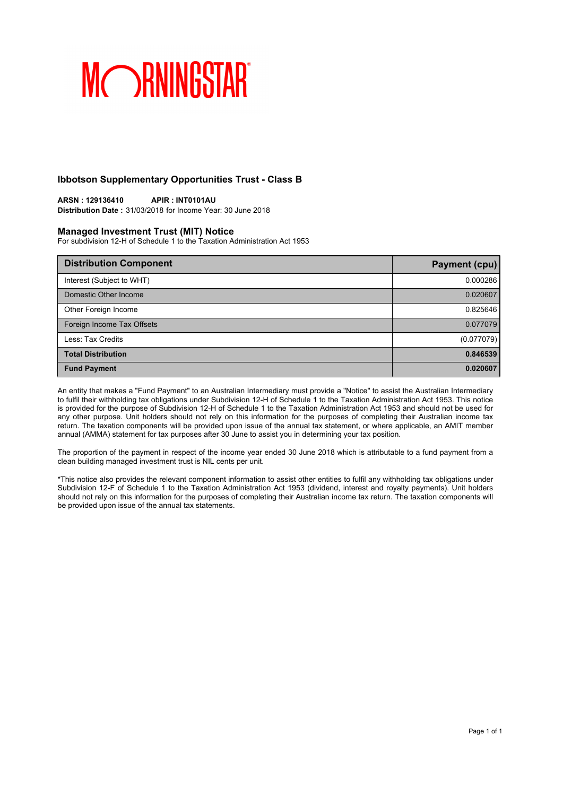### **Ibbotson Supplementary Opportunities Trust - Class B**

#### **ARSN : 129136410 APIR : INT0101AU Distribution Date :** 31/03/2018 for Income Year: 30 June 2018

### **Managed Investment Trust (MIT) Notice**

For subdivision 12-H of Schedule 1 to the Taxation Administration Act 1953

| <b>Distribution Component</b> | <b>Payment (cpu)</b> |
|-------------------------------|----------------------|
| Interest (Subject to WHT)     | 0.000286             |
| Domestic Other Income         | 0.020607             |
| Other Foreign Income          | 0.825646             |
| Foreign Income Tax Offsets    | 0.077079             |
| Less: Tax Credits             | (0.077079)           |
| <b>Total Distribution</b>     | 0.846539             |
| <b>Fund Payment</b>           | 0.020607             |

An entity that makes a "Fund Payment" to an Australian Intermediary must provide a "Notice" to assist the Australian Intermediary to fulfil their withholding tax obligations under Subdivision 12-H of Schedule 1 to the Taxation Administration Act 1953. This notice is provided for the purpose of Subdivision 12-H of Schedule 1 to the Taxation Administration Act 1953 and should not be used for any other purpose. Unit holders should not rely on this information for the purposes of completing their Australian income tax return. The taxation components will be provided upon issue of the annual tax statement, or where applicable, an AMIT member annual (AMMA) statement for tax purposes after 30 June to assist you in determining your tax position.

The proportion of the payment in respect of the income year ended 30 June 2018 which is attributable to a fund payment from a clean building managed investment trust is NIL cents per unit.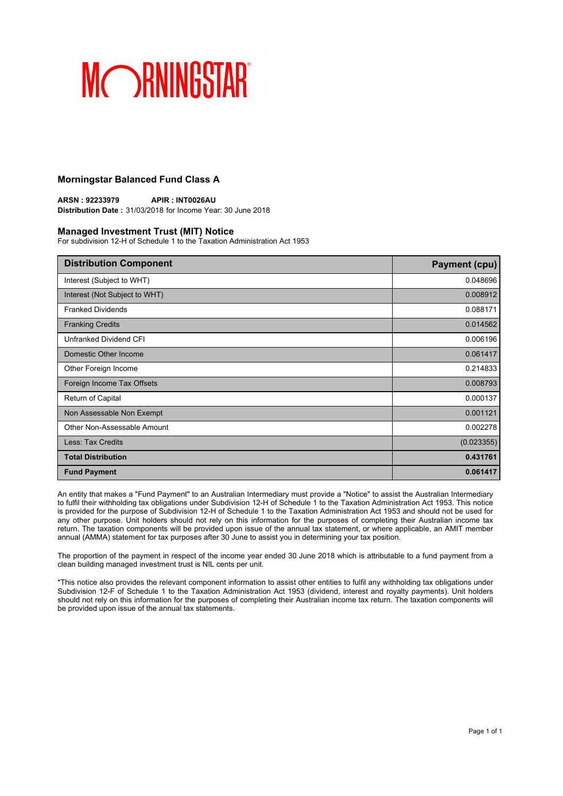### **Morningstar Balanced Fund Class A**

**ARSN : 92233979 APIR : INT0026AU Distribution Date :** 31/03/2018 for Income Year: 30 June 2018

#### **Managed Investment Trust (MIT) Notice**

For subdivision 12-H of Schedule 1 to the Taxation Administration Act 1953

| <b>Distribution Component</b> | <b>Payment (cpu)</b> |
|-------------------------------|----------------------|
| Interest (Subject to WHT)     | 0.048696             |
| Interest (Not Subject to WHT) | 0.008912             |
| <b>Franked Dividends</b>      | 0.088171             |
| <b>Franking Credits</b>       | 0.014562             |
| Unfranked Dividend CFI        | 0.006196             |
| Domestic Other Income         | 0.061417             |
| Other Foreign Income          | 0.214833             |
| Foreign Income Tax Offsets    | 0.008793             |
| Return of Capital             | 0.000137             |
| Non Assessable Non Exempt     | 0.001121             |
| Other Non-Assessable Amount   | 0.002278             |
| Less: Tax Credits             | (0.023355)           |
| <b>Total Distribution</b>     | 0.431761             |
| <b>Fund Payment</b>           | 0.061417             |

An entity that makes a "Fund Payment" to an Australian Intermediary must provide a "Notice" to assist the Australian Intermediary to fulfil their withholding tax obligations under Subdivision 12-H of Schedule 1 to the Taxation Administration Act 1953. This notice is provided for the purpose of Subdivision 12-H of Schedule 1 to the Taxation Administration Act 1953 and should not be used for any other purpose. Unit holders should not rely on this information for the purposes of completing their Australian income tax return. The taxation components will be provided upon issue of the annual tax statement, or where applicable, an AMIT member annual (AMMA) statement for tax purposes after 30 June to assist you in determining your tax position.

The proportion of the payment in respect of the income year ended 30 June 2018 which is attributable to a fund payment from a clean building managed investment trust is NIL cents per unit.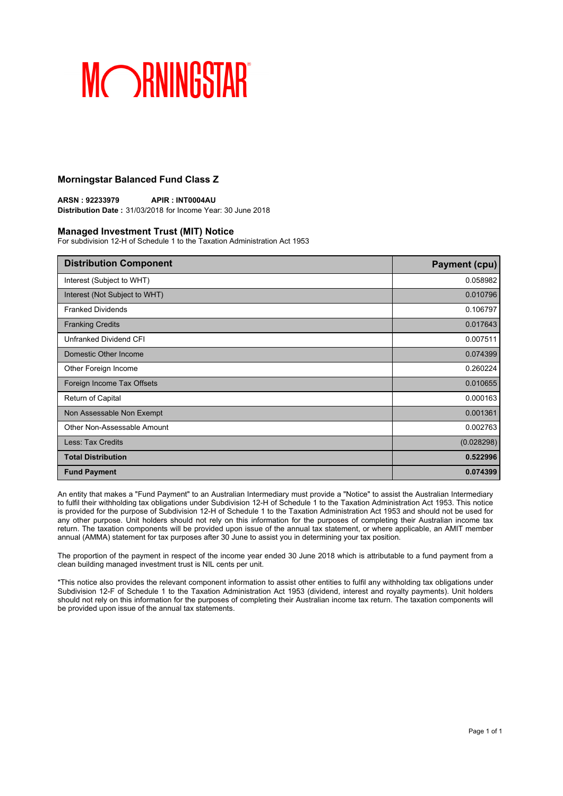### **Morningstar Balanced Fund Class Z**

**ARSN : 92233979 APIR : INT0004AU Distribution Date :** 31/03/2018 for Income Year: 30 June 2018

#### **Managed Investment Trust (MIT) Notice**

For subdivision 12-H of Schedule 1 to the Taxation Administration Act 1953

| <b>Distribution Component</b> | <b>Payment (cpu)</b> |
|-------------------------------|----------------------|
| Interest (Subject to WHT)     | 0.058982             |
| Interest (Not Subject to WHT) | 0.010796             |
| <b>Franked Dividends</b>      | 0.106797             |
| <b>Franking Credits</b>       | 0.017643             |
| Unfranked Dividend CFI        | 0.007511             |
| Domestic Other Income         | 0.074399             |
| Other Foreign Income          | 0.260224             |
| Foreign Income Tax Offsets    | 0.010655             |
| Return of Capital             | 0.000163             |
| Non Assessable Non Exempt     | 0.001361             |
| Other Non-Assessable Amount   | 0.002763             |
| Less: Tax Credits             | (0.028298)           |
| <b>Total Distribution</b>     | 0.522996             |
| <b>Fund Payment</b>           | 0.074399             |

An entity that makes a "Fund Payment" to an Australian Intermediary must provide a "Notice" to assist the Australian Intermediary to fulfil their withholding tax obligations under Subdivision 12-H of Schedule 1 to the Taxation Administration Act 1953. This notice is provided for the purpose of Subdivision 12-H of Schedule 1 to the Taxation Administration Act 1953 and should not be used for any other purpose. Unit holders should not rely on this information for the purposes of completing their Australian income tax return. The taxation components will be provided upon issue of the annual tax statement, or where applicable, an AMIT member annual (AMMA) statement for tax purposes after 30 June to assist you in determining your tax position.

The proportion of the payment in respect of the income year ended 30 June 2018 which is attributable to a fund payment from a clean building managed investment trust is NIL cents per unit.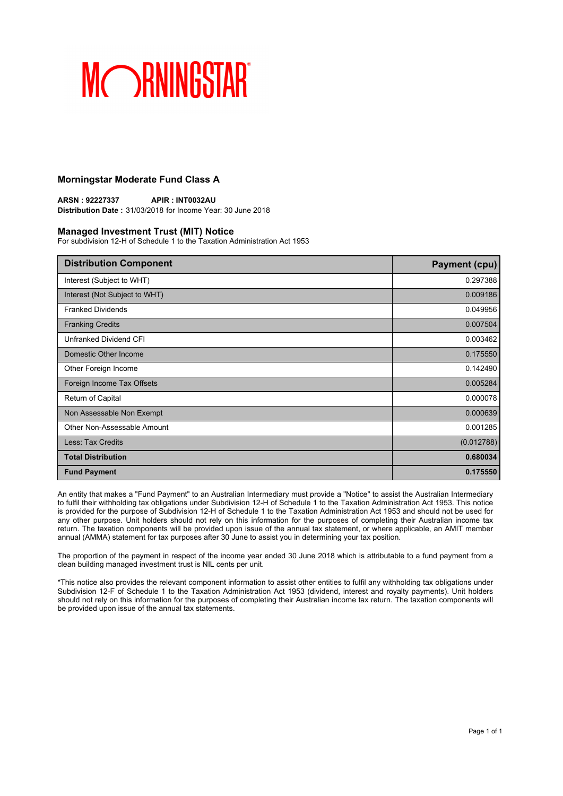### **Morningstar Moderate Fund Class A**

**ARSN : 92227337 APIR : INT0032AU Distribution Date :** 31/03/2018 for Income Year: 30 June 2018

#### **Managed Investment Trust (MIT) Notice**

For subdivision 12-H of Schedule 1 to the Taxation Administration Act 1953

| <b>Distribution Component</b> | <b>Payment (cpu)</b> |
|-------------------------------|----------------------|
| Interest (Subject to WHT)     | 0.297388             |
| Interest (Not Subject to WHT) | 0.009186             |
| <b>Franked Dividends</b>      | 0.049956             |
| <b>Franking Credits</b>       | 0.007504             |
| Unfranked Dividend CFI        | 0.003462             |
| Domestic Other Income         | 0.175550             |
| Other Foreign Income          | 0.142490             |
| Foreign Income Tax Offsets    | 0.005284             |
| Return of Capital             | 0.000078             |
| Non Assessable Non Exempt     | 0.000639             |
| Other Non-Assessable Amount   | 0.001285             |
| Less: Tax Credits             | (0.012788)           |
| <b>Total Distribution</b>     | 0.680034             |
| <b>Fund Payment</b>           | 0.175550             |

An entity that makes a "Fund Payment" to an Australian Intermediary must provide a "Notice" to assist the Australian Intermediary to fulfil their withholding tax obligations under Subdivision 12-H of Schedule 1 to the Taxation Administration Act 1953. This notice is provided for the purpose of Subdivision 12-H of Schedule 1 to the Taxation Administration Act 1953 and should not be used for any other purpose. Unit holders should not rely on this information for the purposes of completing their Australian income tax return. The taxation components will be provided upon issue of the annual tax statement, or where applicable, an AMIT member annual (AMMA) statement for tax purposes after 30 June to assist you in determining your tax position.

The proportion of the payment in respect of the income year ended 30 June 2018 which is attributable to a fund payment from a clean building managed investment trust is NIL cents per unit.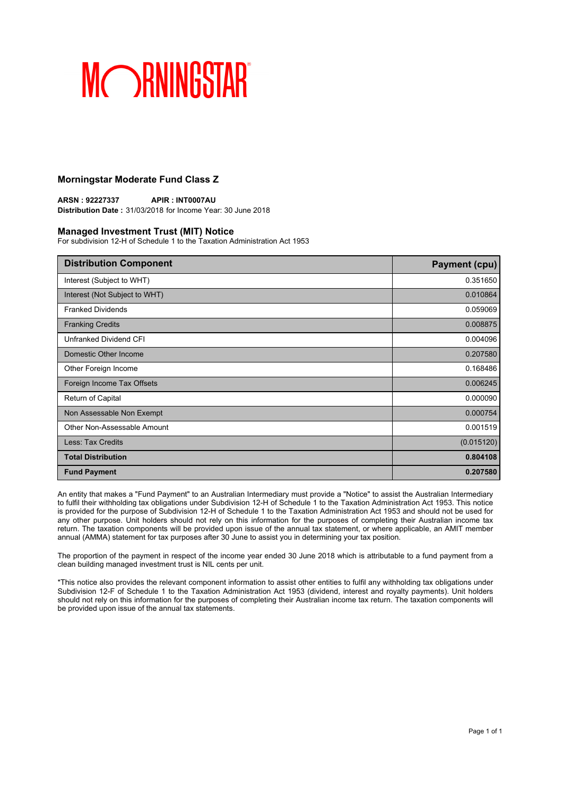### **Morningstar Moderate Fund Class Z**

**ARSN : 92227337 APIR : INT0007AU Distribution Date :** 31/03/2018 for Income Year: 30 June 2018

#### **Managed Investment Trust (MIT) Notice**

For subdivision 12-H of Schedule 1 to the Taxation Administration Act 1953

| <b>Distribution Component</b> | <b>Payment (cpu)</b> |
|-------------------------------|----------------------|
| Interest (Subject to WHT)     | 0.351650             |
| Interest (Not Subject to WHT) | 0.010864             |
| <b>Franked Dividends</b>      | 0.059069             |
| <b>Franking Credits</b>       | 0.008875             |
| Unfranked Dividend CFI        | 0.004096             |
| Domestic Other Income         | 0.207580             |
| Other Foreign Income          | 0.168486             |
| Foreign Income Tax Offsets    | 0.006245             |
| Return of Capital             | 0.000090             |
| Non Assessable Non Exempt     | 0.000754             |
| Other Non-Assessable Amount   | 0.001519             |
| Less: Tax Credits             | (0.015120)           |
| <b>Total Distribution</b>     | 0.804108             |
| <b>Fund Payment</b>           | 0.207580             |

An entity that makes a "Fund Payment" to an Australian Intermediary must provide a "Notice" to assist the Australian Intermediary to fulfil their withholding tax obligations under Subdivision 12-H of Schedule 1 to the Taxation Administration Act 1953. This notice is provided for the purpose of Subdivision 12-H of Schedule 1 to the Taxation Administration Act 1953 and should not be used for any other purpose. Unit holders should not rely on this information for the purposes of completing their Australian income tax return. The taxation components will be provided upon issue of the annual tax statement, or where applicable, an AMIT member annual (AMMA) statement for tax purposes after 30 June to assist you in determining your tax position.

The proportion of the payment in respect of the income year ended 30 June 2018 which is attributable to a fund payment from a clean building managed investment trust is NIL cents per unit.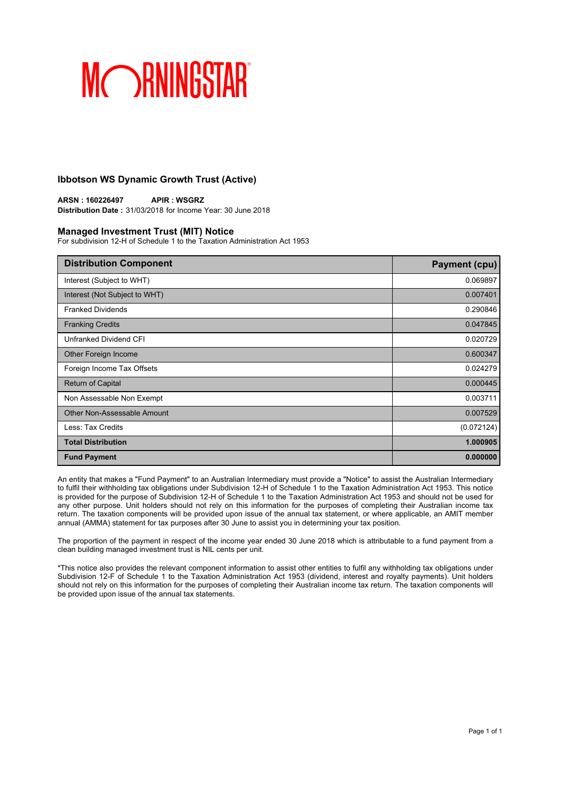### **Ibbotson WS Dynamic Growth Trust (Active)**

**ARSN : 160226497 APIR : WSGRZ Distribution Date :** 31/03/2018 for Income Year: 30 June 2018

#### **Managed Investment Trust (MIT) Notice**

For subdivision 12-H of Schedule 1 to the Taxation Administration Act 1953

| <b>Distribution Component</b> | <b>Payment (cpu)</b> |
|-------------------------------|----------------------|
| Interest (Subject to WHT)     | 0.069897             |
| Interest (Not Subject to WHT) | 0.007401             |
| <b>Franked Dividends</b>      | 0.290846             |
| <b>Franking Credits</b>       | 0.047845             |
| Unfranked Dividend CFI        | 0.020729             |
| Other Foreign Income          | 0.600347             |
| Foreign Income Tax Offsets    | 0.024279             |
| <b>Return of Capital</b>      | 0.000445             |
| Non Assessable Non Exempt     | 0.003711             |
| Other Non-Assessable Amount   | 0.007529             |
| Less: Tax Credits             | (0.072124)           |
| <b>Total Distribution</b>     | 1.000905             |
| <b>Fund Payment</b>           | 0.000000             |

An entity that makes a "Fund Payment" to an Australian Intermediary must provide a "Notice" to assist the Australian Intermediary to fulfil their withholding tax obligations under Subdivision 12-H of Schedule 1 to the Taxation Administration Act 1953. This notice is provided for the purpose of Subdivision 12-H of Schedule 1 to the Taxation Administration Act 1953 and should not be used for any other purpose. Unit holders should not rely on this information for the purposes of completing their Australian income tax return. The taxation components will be provided upon issue of the annual tax statement, or where applicable, an AMIT member annual (AMMA) statement for tax purposes after 30 June to assist you in determining your tax position.

The proportion of the payment in respect of the income year ended 30 June 2018 which is attributable to a fund payment from a clean building managed investment trust is NIL cents per unit.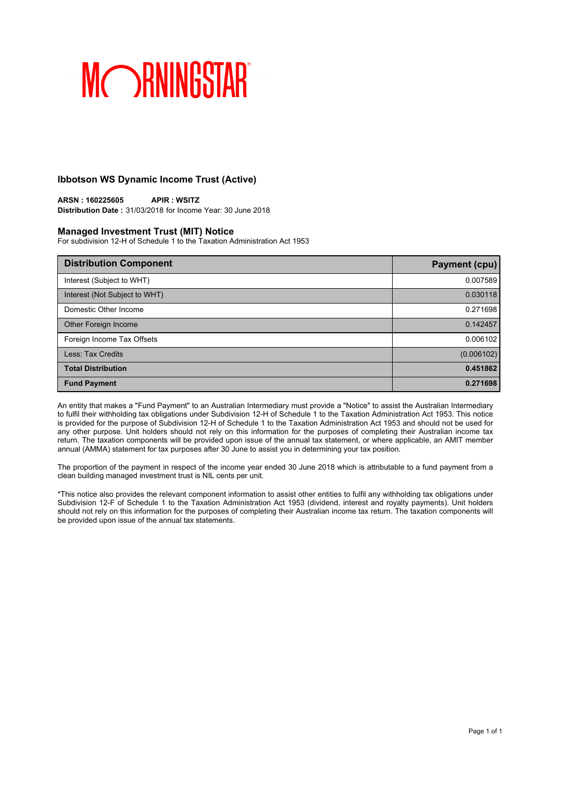### **Ibbotson WS Dynamic Income Trust (Active)**

**ARSN : 160225605 APIR : WSITZ Distribution Date :** 31/03/2018 for Income Year: 30 June 2018

#### **Managed Investment Trust (MIT) Notice**

For subdivision 12-H of Schedule 1 to the Taxation Administration Act 1953

| <b>Distribution Component</b> | <b>Payment (cpu)</b> |
|-------------------------------|----------------------|
| Interest (Subject to WHT)     | 0.007589             |
| Interest (Not Subject to WHT) | 0.030118             |
| Domestic Other Income         | 0.271698             |
| Other Foreign Income          | 0.142457             |
| Foreign Income Tax Offsets    | 0.006102             |
| Less: Tax Credits             | (0.006102)           |
| <b>Total Distribution</b>     | 0.451862             |
| <b>Fund Payment</b>           | 0.271698             |

An entity that makes a "Fund Payment" to an Australian Intermediary must provide a "Notice" to assist the Australian Intermediary to fulfil their withholding tax obligations under Subdivision 12-H of Schedule 1 to the Taxation Administration Act 1953. This notice is provided for the purpose of Subdivision 12-H of Schedule 1 to the Taxation Administration Act 1953 and should not be used for any other purpose. Unit holders should not rely on this information for the purposes of completing their Australian income tax return. The taxation components will be provided upon issue of the annual tax statement, or where applicable, an AMIT member annual (AMMA) statement for tax purposes after 30 June to assist you in determining your tax position.

The proportion of the payment in respect of the income year ended 30 June 2018 which is attributable to a fund payment from a clean building managed investment trust is NIL cents per unit.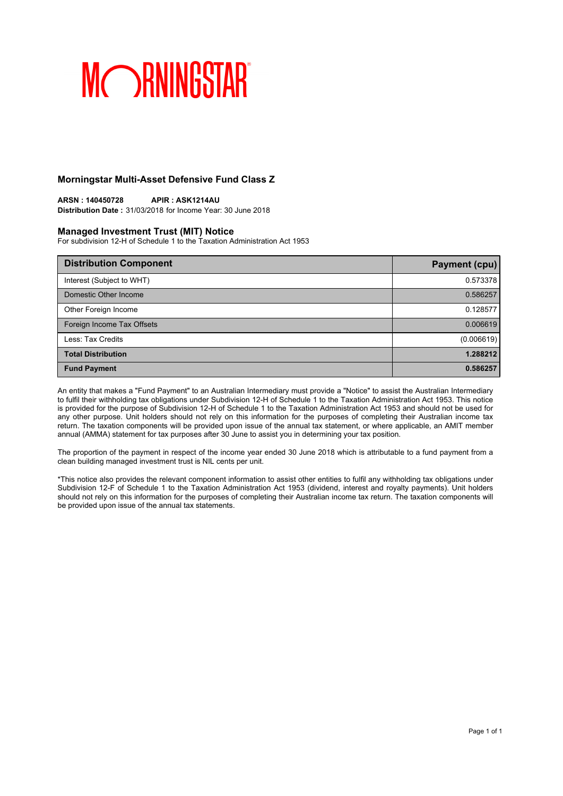### **Morningstar Multi-Asset Defensive Fund Class Z**

**ARSN : 140450728 APIR : ASK1214AU Distribution Date :** 31/03/2018 for Income Year: 30 June 2018

#### **Managed Investment Trust (MIT) Notice**

For subdivision 12-H of Schedule 1 to the Taxation Administration Act 1953

| <b>Distribution Component</b> | Payment (cpu) |
|-------------------------------|---------------|
| Interest (Subject to WHT)     | 0.573378      |
| Domestic Other Income         | 0.586257      |
| Other Foreign Income          | 0.128577      |
| Foreign Income Tax Offsets    | 0.006619      |
| Less: Tax Credits             | (0.006619)    |
| <b>Total Distribution</b>     | 1.288212      |
| <b>Fund Payment</b>           | 0.586257      |

An entity that makes a "Fund Payment" to an Australian Intermediary must provide a "Notice" to assist the Australian Intermediary to fulfil their withholding tax obligations under Subdivision 12-H of Schedule 1 to the Taxation Administration Act 1953. This notice is provided for the purpose of Subdivision 12-H of Schedule 1 to the Taxation Administration Act 1953 and should not be used for any other purpose. Unit holders should not rely on this information for the purposes of completing their Australian income tax return. The taxation components will be provided upon issue of the annual tax statement, or where applicable, an AMIT member annual (AMMA) statement for tax purposes after 30 June to assist you in determining your tax position.

The proportion of the payment in respect of the income year ended 30 June 2018 which is attributable to a fund payment from a clean building managed investment trust is NIL cents per unit.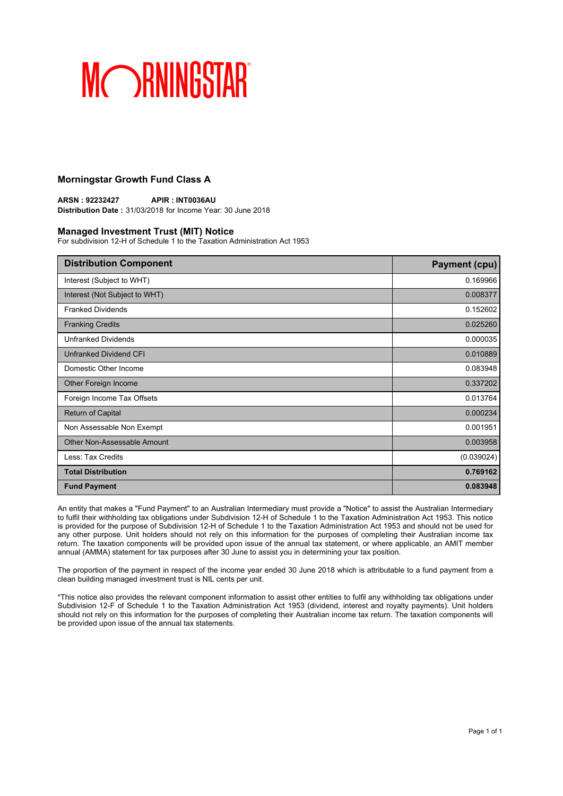### **Morningstar Growth Fund Class A**

**ARSN : 92232427 APIR : INT0036AU Distribution Date :** 31/03/2018 for Income Year: 30 June 2018

#### **Managed Investment Trust (MIT) Notice**

For subdivision 12-H of Schedule 1 to the Taxation Administration Act 1953

| <b>Distribution Component</b> | <b>Payment (cpu)</b> |
|-------------------------------|----------------------|
| Interest (Subject to WHT)     | 0.169966             |
| Interest (Not Subject to WHT) | 0.008377             |
| <b>Franked Dividends</b>      | 0.152602             |
| <b>Franking Credits</b>       | 0.025260             |
| <b>Unfranked Dividends</b>    | 0.000035             |
| Unfranked Dividend CFI        | 0.010889             |
| Domestic Other Income         | 0.083948             |
| Other Foreign Income          | 0.337202             |
| Foreign Income Tax Offsets    | 0.013764             |
| <b>Return of Capital</b>      | 0.000234             |
| Non Assessable Non Exempt     | 0.001951             |
| Other Non-Assessable Amount   | 0.003958             |
| Less: Tax Credits             | (0.039024)           |
| <b>Total Distribution</b>     | 0.769162             |
| <b>Fund Payment</b>           | 0.083948             |

An entity that makes a "Fund Payment" to an Australian Intermediary must provide a "Notice" to assist the Australian Intermediary to fulfil their withholding tax obligations under Subdivision 12-H of Schedule 1 to the Taxation Administration Act 1953. This notice is provided for the purpose of Subdivision 12-H of Schedule 1 to the Taxation Administration Act 1953 and should not be used for any other purpose. Unit holders should not rely on this information for the purposes of completing their Australian income tax return. The taxation components will be provided upon issue of the annual tax statement, or where applicable, an AMIT member annual (AMMA) statement for tax purposes after 30 June to assist you in determining your tax position.

The proportion of the payment in respect of the income year ended 30 June 2018 which is attributable to a fund payment from a clean building managed investment trust is NIL cents per unit.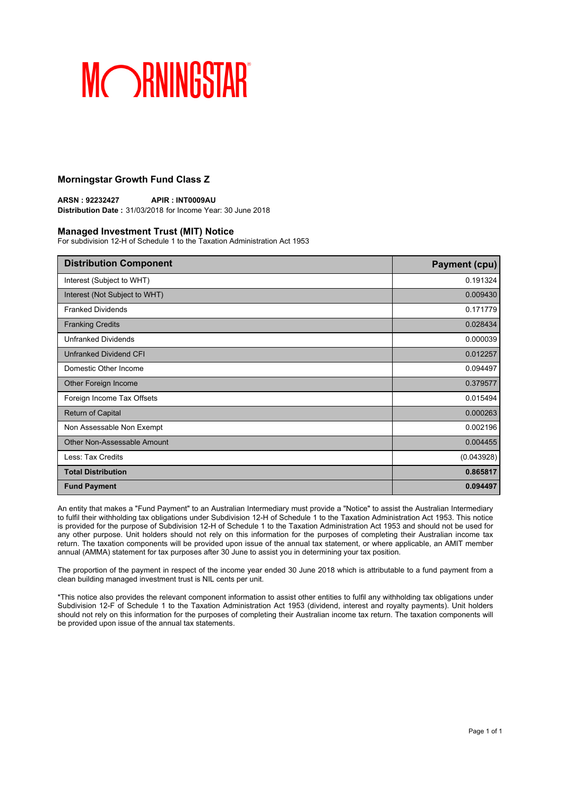### **Morningstar Growth Fund Class Z**

**ARSN : 92232427 APIR : INT0009AU Distribution Date :** 31/03/2018 for Income Year: 30 June 2018

#### **Managed Investment Trust (MIT) Notice**

For subdivision 12-H of Schedule 1 to the Taxation Administration Act 1953

| <b>Distribution Component</b> | <b>Payment (cpu)</b> |
|-------------------------------|----------------------|
| Interest (Subject to WHT)     | 0.191324             |
| Interest (Not Subject to WHT) | 0.009430             |
| <b>Franked Dividends</b>      | 0.171779             |
| <b>Franking Credits</b>       | 0.028434             |
| <b>Unfranked Dividends</b>    | 0.000039             |
| Unfranked Dividend CFI        | 0.012257             |
| Domestic Other Income         | 0.094497             |
| Other Foreign Income          | 0.379577             |
| Foreign Income Tax Offsets    | 0.015494             |
| <b>Return of Capital</b>      | 0.000263             |
| Non Assessable Non Exempt     | 0.002196             |
| Other Non-Assessable Amount   | 0.004455             |
| Less: Tax Credits             | (0.043928)           |
| <b>Total Distribution</b>     | 0.865817             |
| <b>Fund Payment</b>           | 0.094497             |

An entity that makes a "Fund Payment" to an Australian Intermediary must provide a "Notice" to assist the Australian Intermediary to fulfil their withholding tax obligations under Subdivision 12-H of Schedule 1 to the Taxation Administration Act 1953. This notice is provided for the purpose of Subdivision 12-H of Schedule 1 to the Taxation Administration Act 1953 and should not be used for any other purpose. Unit holders should not rely on this information for the purposes of completing their Australian income tax return. The taxation components will be provided upon issue of the annual tax statement, or where applicable, an AMIT member annual (AMMA) statement for tax purposes after 30 June to assist you in determining your tax position.

The proportion of the payment in respect of the income year ended 30 June 2018 which is attributable to a fund payment from a clean building managed investment trust is NIL cents per unit.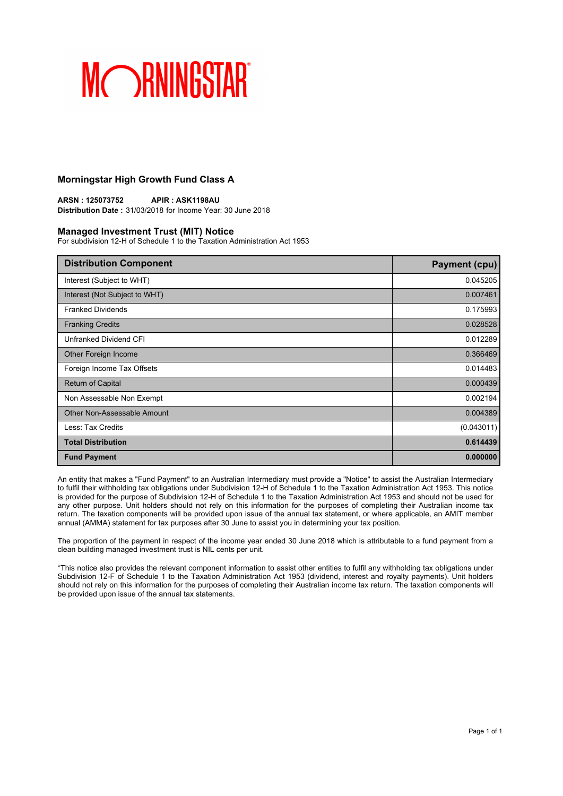### **Morningstar High Growth Fund Class A**

**ARSN : 125073752 APIR : ASK1198AU Distribution Date :** 31/03/2018 for Income Year: 30 June 2018

#### **Managed Investment Trust (MIT) Notice**

For subdivision 12-H of Schedule 1 to the Taxation Administration Act 1953

| <b>Distribution Component</b> | <b>Payment (cpu)</b> |
|-------------------------------|----------------------|
| Interest (Subject to WHT)     | 0.045205             |
| Interest (Not Subject to WHT) | 0.007461             |
| <b>Franked Dividends</b>      | 0.175993             |
| <b>Franking Credits</b>       | 0.028528             |
| Unfranked Dividend CFI        | 0.012289             |
| Other Foreign Income          | 0.366469             |
| Foreign Income Tax Offsets    | 0.014483             |
| <b>Return of Capital</b>      | 0.000439             |
| Non Assessable Non Exempt     | 0.002194             |
| Other Non-Assessable Amount   | 0.004389             |
| Less: Tax Credits             | (0.043011)           |
| <b>Total Distribution</b>     | 0.614439             |
| <b>Fund Payment</b>           | 0.000000             |

An entity that makes a "Fund Payment" to an Australian Intermediary must provide a "Notice" to assist the Australian Intermediary to fulfil their withholding tax obligations under Subdivision 12-H of Schedule 1 to the Taxation Administration Act 1953. This notice is provided for the purpose of Subdivision 12-H of Schedule 1 to the Taxation Administration Act 1953 and should not be used for any other purpose. Unit holders should not rely on this information for the purposes of completing their Australian income tax return. The taxation components will be provided upon issue of the annual tax statement, or where applicable, an AMIT member annual (AMMA) statement for tax purposes after 30 June to assist you in determining your tax position.

The proportion of the payment in respect of the income year ended 30 June 2018 which is attributable to a fund payment from a clean building managed investment trust is NIL cents per unit.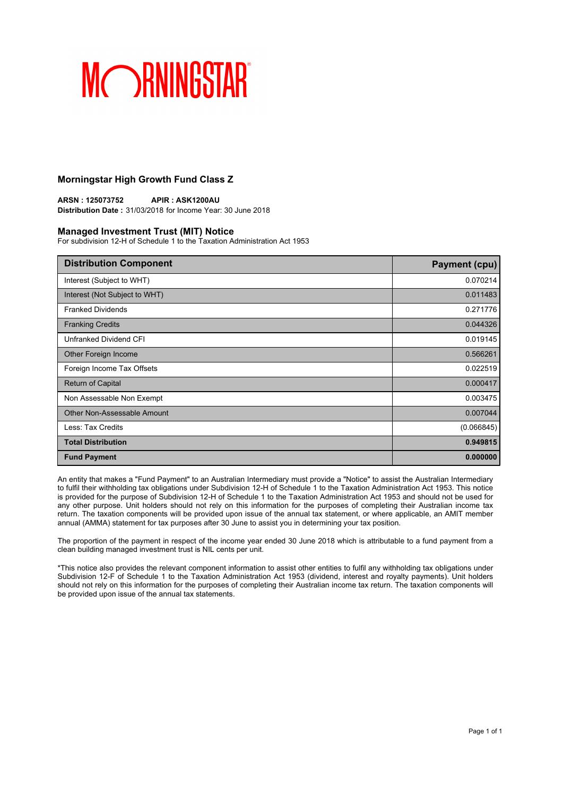### **Morningstar High Growth Fund Class Z**

**ARSN : 125073752 APIR : ASK1200AU Distribution Date :** 31/03/2018 for Income Year: 30 June 2018

#### **Managed Investment Trust (MIT) Notice**

For subdivision 12-H of Schedule 1 to the Taxation Administration Act 1953

| <b>Distribution Component</b> | <b>Payment (cpu)</b> |
|-------------------------------|----------------------|
| Interest (Subject to WHT)     | 0.070214             |
| Interest (Not Subject to WHT) | 0.011483             |
| <b>Franked Dividends</b>      | 0.271776             |
| <b>Franking Credits</b>       | 0.044326             |
| Unfranked Dividend CFI        | 0.019145             |
| Other Foreign Income          | 0.566261             |
| Foreign Income Tax Offsets    | 0.022519             |
| <b>Return of Capital</b>      | 0.000417             |
| Non Assessable Non Exempt     | 0.003475             |
| Other Non-Assessable Amount   | 0.007044             |
| Less: Tax Credits             | (0.066845)           |
| <b>Total Distribution</b>     | 0.949815             |
| <b>Fund Payment</b>           | 0.000000             |

An entity that makes a "Fund Payment" to an Australian Intermediary must provide a "Notice" to assist the Australian Intermediary to fulfil their withholding tax obligations under Subdivision 12-H of Schedule 1 to the Taxation Administration Act 1953. This notice is provided for the purpose of Subdivision 12-H of Schedule 1 to the Taxation Administration Act 1953 and should not be used for any other purpose. Unit holders should not rely on this information for the purposes of completing their Australian income tax return. The taxation components will be provided upon issue of the annual tax statement, or where applicable, an AMIT member annual (AMMA) statement for tax purposes after 30 June to assist you in determining your tax position.

The proportion of the payment in respect of the income year ended 30 June 2018 which is attributable to a fund payment from a clean building managed investment trust is NIL cents per unit.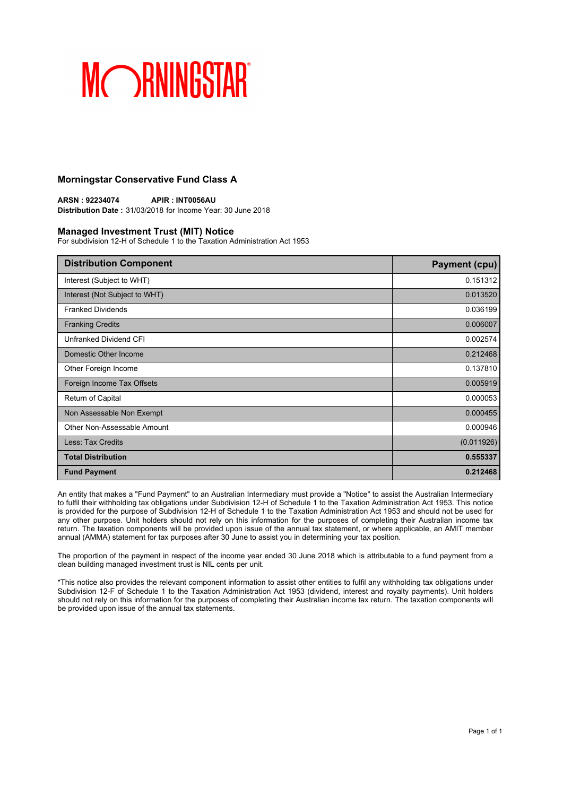### **Morningstar Conservative Fund Class A**

**ARSN : 92234074 APIR : INT0056AU Distribution Date :** 31/03/2018 for Income Year: 30 June 2018

#### **Managed Investment Trust (MIT) Notice**

For subdivision 12-H of Schedule 1 to the Taxation Administration Act 1953

| <b>Distribution Component</b> | <b>Payment (cpu)</b> |
|-------------------------------|----------------------|
| Interest (Subject to WHT)     | 0.151312             |
| Interest (Not Subject to WHT) | 0.013520             |
| <b>Franked Dividends</b>      | 0.036199             |
| <b>Franking Credits</b>       | 0.006007             |
| Unfranked Dividend CFI        | 0.002574             |
| Domestic Other Income         | 0.212468             |
| Other Foreign Income          | 0.137810             |
| Foreign Income Tax Offsets    | 0.005919             |
| Return of Capital             | 0.000053             |
| Non Assessable Non Exempt     | 0.000455             |
| Other Non-Assessable Amount   | 0.000946             |
| <b>Less: Tax Credits</b>      | (0.011926)           |
| <b>Total Distribution</b>     | 0.555337             |
| <b>Fund Payment</b>           | 0.212468             |

An entity that makes a "Fund Payment" to an Australian Intermediary must provide a "Notice" to assist the Australian Intermediary to fulfil their withholding tax obligations under Subdivision 12-H of Schedule 1 to the Taxation Administration Act 1953. This notice is provided for the purpose of Subdivision 12-H of Schedule 1 to the Taxation Administration Act 1953 and should not be used for any other purpose. Unit holders should not rely on this information for the purposes of completing their Australian income tax return. The taxation components will be provided upon issue of the annual tax statement, or where applicable, an AMIT member annual (AMMA) statement for tax purposes after 30 June to assist you in determining your tax position.

The proportion of the payment in respect of the income year ended 30 June 2018 which is attributable to a fund payment from a clean building managed investment trust is NIL cents per unit.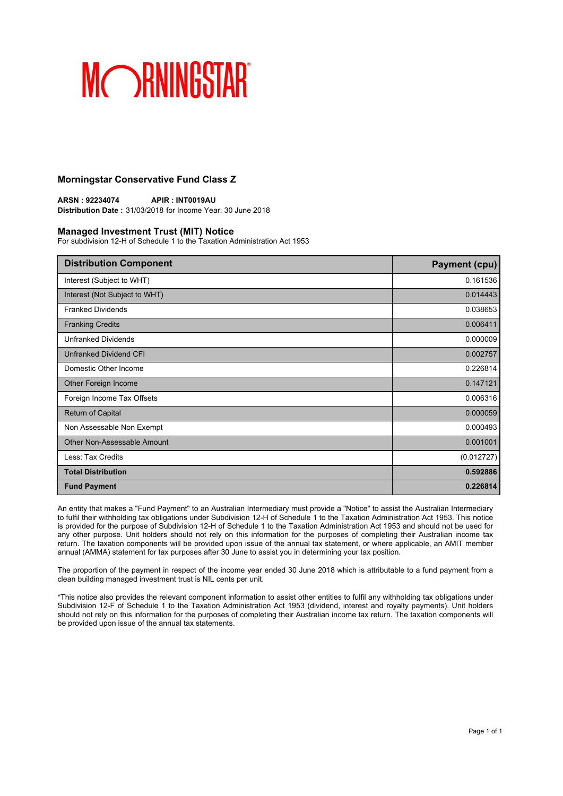### **Morningstar Conservative Fund Class Z**

**ARSN : 92234074 APIR : INT0019AU Distribution Date :** 31/03/2018 for Income Year: 30 June 2018

#### **Managed Investment Trust (MIT) Notice**

For subdivision 12-H of Schedule 1 to the Taxation Administration Act 1953

| <b>Distribution Component</b> | <b>Payment (cpu)</b> |
|-------------------------------|----------------------|
| Interest (Subject to WHT)     | 0.161536             |
| Interest (Not Subject to WHT) | 0.014443             |
| <b>Franked Dividends</b>      | 0.038653             |
| <b>Franking Credits</b>       | 0.006411             |
| <b>Unfranked Dividends</b>    | 0.000009             |
| Unfranked Dividend CFI        | 0.002757             |
| Domestic Other Income         | 0.226814             |
| Other Foreign Income          | 0.147121             |
| Foreign Income Tax Offsets    | 0.006316             |
| <b>Return of Capital</b>      | 0.000059             |
| Non Assessable Non Exempt     | 0.000493             |
| Other Non-Assessable Amount   | 0.001001             |
| Less: Tax Credits             | (0.012727)           |
| <b>Total Distribution</b>     | 0.592886             |
| <b>Fund Payment</b>           | 0.226814             |

An entity that makes a "Fund Payment" to an Australian Intermediary must provide a "Notice" to assist the Australian Intermediary to fulfil their withholding tax obligations under Subdivision 12-H of Schedule 1 to the Taxation Administration Act 1953. This notice is provided for the purpose of Subdivision 12-H of Schedule 1 to the Taxation Administration Act 1953 and should not be used for any other purpose. Unit holders should not rely on this information for the purposes of completing their Australian income tax return. The taxation components will be provided upon issue of the annual tax statement, or where applicable, an AMIT member annual (AMMA) statement for tax purposes after 30 June to assist you in determining your tax position.

The proportion of the payment in respect of the income year ended 30 June 2018 which is attributable to a fund payment from a clean building managed investment trust is NIL cents per unit.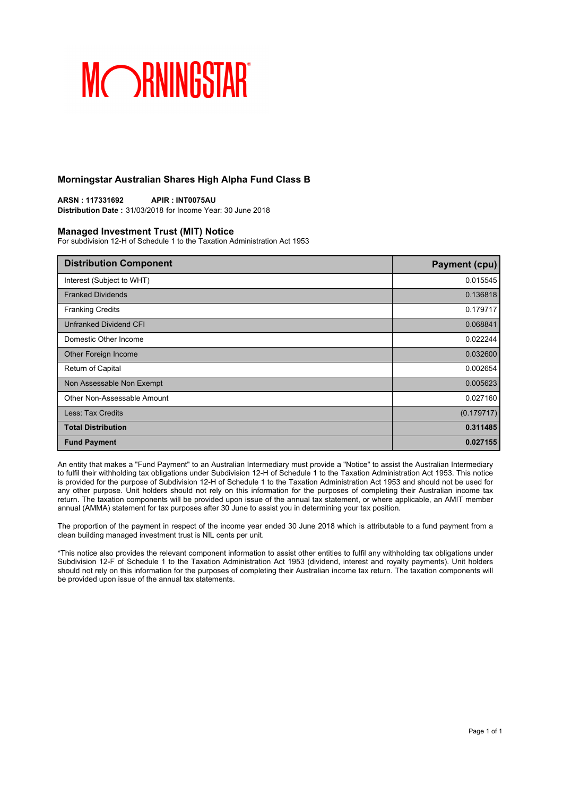### **Morningstar Australian Shares High Alpha Fund Class B**

**ARSN : 117331692 APIR : INT0075AU Distribution Date :** 31/03/2018 for Income Year: 30 June 2018

#### **Managed Investment Trust (MIT) Notice**

For subdivision 12-H of Schedule 1 to the Taxation Administration Act 1953

| <b>Distribution Component</b> | <b>Payment (cpu)</b> |
|-------------------------------|----------------------|
| Interest (Subject to WHT)     | 0.015545             |
| <b>Franked Dividends</b>      | 0.136818             |
| <b>Franking Credits</b>       | 0.179717             |
| <b>Unfranked Dividend CFI</b> | 0.068841             |
| Domestic Other Income         | 0.022244             |
| Other Foreign Income          | 0.032600             |
| Return of Capital             | 0.002654             |
| Non Assessable Non Exempt     | 0.005623             |
| Other Non-Assessable Amount   | 0.027160             |
| Less: Tax Credits             | (0.179717)           |
| <b>Total Distribution</b>     | 0.311485             |
| <b>Fund Payment</b>           | 0.027155             |

An entity that makes a "Fund Payment" to an Australian Intermediary must provide a "Notice" to assist the Australian Intermediary to fulfil their withholding tax obligations under Subdivision 12-H of Schedule 1 to the Taxation Administration Act 1953. This notice is provided for the purpose of Subdivision 12-H of Schedule 1 to the Taxation Administration Act 1953 and should not be used for any other purpose. Unit holders should not rely on this information for the purposes of completing their Australian income tax return. The taxation components will be provided upon issue of the annual tax statement, or where applicable, an AMIT member annual (AMMA) statement for tax purposes after 30 June to assist you in determining your tax position.

The proportion of the payment in respect of the income year ended 30 June 2018 which is attributable to a fund payment from a clean building managed investment trust is NIL cents per unit.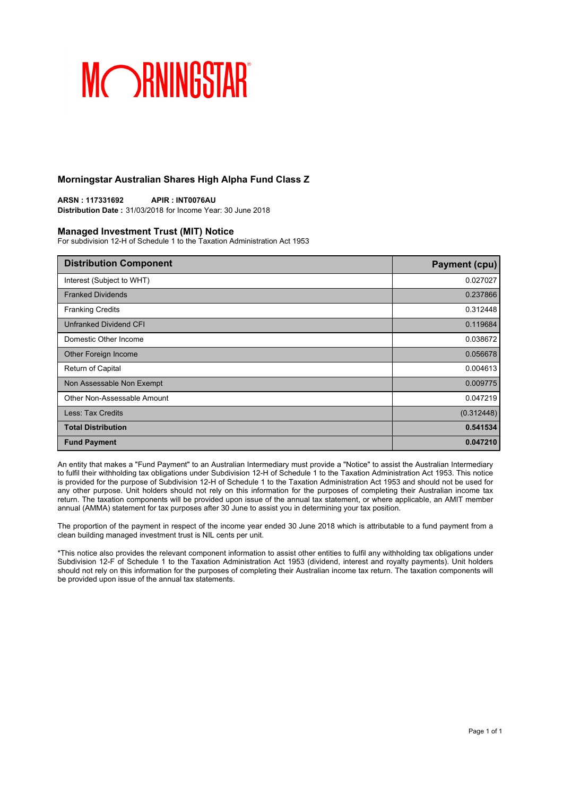### **Morningstar Australian Shares High Alpha Fund Class Z**

**ARSN : 117331692 APIR : INT0076AU Distribution Date :** 31/03/2018 for Income Year: 30 June 2018

#### **Managed Investment Trust (MIT) Notice**

For subdivision 12-H of Schedule 1 to the Taxation Administration Act 1953

| <b>Distribution Component</b> | <b>Payment (cpu)</b> |
|-------------------------------|----------------------|
| Interest (Subject to WHT)     | 0.027027             |
| <b>Franked Dividends</b>      | 0.237866             |
| <b>Franking Credits</b>       | 0.312448             |
| <b>Unfranked Dividend CFI</b> | 0.119684             |
| Domestic Other Income         | 0.038672             |
| Other Foreign Income          | 0.056678             |
| <b>Return of Capital</b>      | 0.004613             |
| Non Assessable Non Exempt     | 0.009775             |
| Other Non-Assessable Amount   | 0.047219             |
| Less: Tax Credits             | (0.312448)           |
| <b>Total Distribution</b>     | 0.541534             |
| <b>Fund Payment</b>           | 0.047210             |

An entity that makes a "Fund Payment" to an Australian Intermediary must provide a "Notice" to assist the Australian Intermediary to fulfil their withholding tax obligations under Subdivision 12-H of Schedule 1 to the Taxation Administration Act 1953. This notice is provided for the purpose of Subdivision 12-H of Schedule 1 to the Taxation Administration Act 1953 and should not be used for any other purpose. Unit holders should not rely on this information for the purposes of completing their Australian income tax return. The taxation components will be provided upon issue of the annual tax statement, or where applicable, an AMIT member annual (AMMA) statement for tax purposes after 30 June to assist you in determining your tax position.

The proportion of the payment in respect of the income year ended 30 June 2018 which is attributable to a fund payment from a clean building managed investment trust is NIL cents per unit.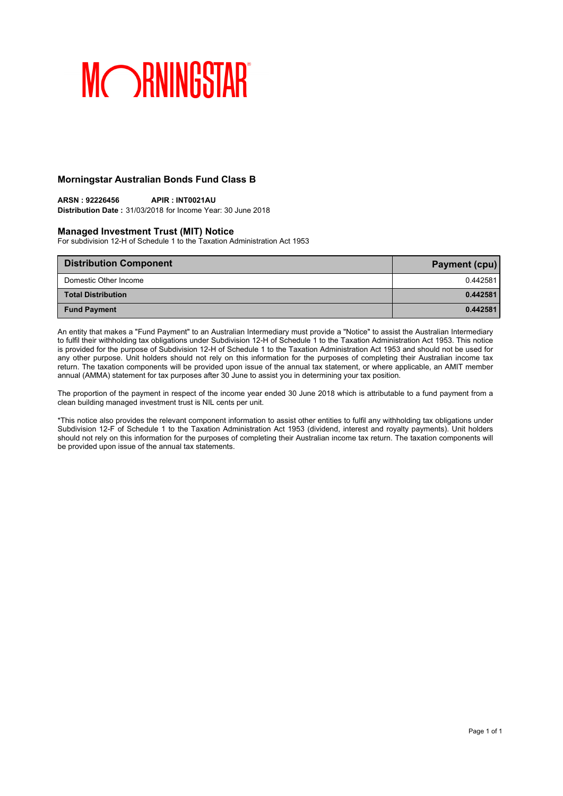### **Morningstar Australian Bonds Fund Class B**

## **ARSN : 92226456 APIR : INT0021AU**

**Distribution Date :** 31/03/2018 for Income Year: 30 June 2018

#### **Managed Investment Trust (MIT) Notice**

For subdivision 12-H of Schedule 1 to the Taxation Administration Act 1953

| <b>Distribution Component</b> | <b>Payment (cpu)</b> |
|-------------------------------|----------------------|
| Domestic Other Income         | 0.442581             |
| <b>Total Distribution</b>     | 0.442581             |
| <b>Fund Payment</b>           | 0.442581             |

An entity that makes a "Fund Payment" to an Australian Intermediary must provide a "Notice" to assist the Australian Intermediary to fulfil their withholding tax obligations under Subdivision 12-H of Schedule 1 to the Taxation Administration Act 1953. This notice is provided for the purpose of Subdivision 12-H of Schedule 1 to the Taxation Administration Act 1953 and should not be used for any other purpose. Unit holders should not rely on this information for the purposes of completing their Australian income tax return. The taxation components will be provided upon issue of the annual tax statement, or where applicable, an AMIT member annual (AMMA) statement for tax purposes after 30 June to assist you in determining your tax position.

The proportion of the payment in respect of the income year ended 30 June 2018 which is attributable to a fund payment from a clean building managed investment trust is NIL cents per unit.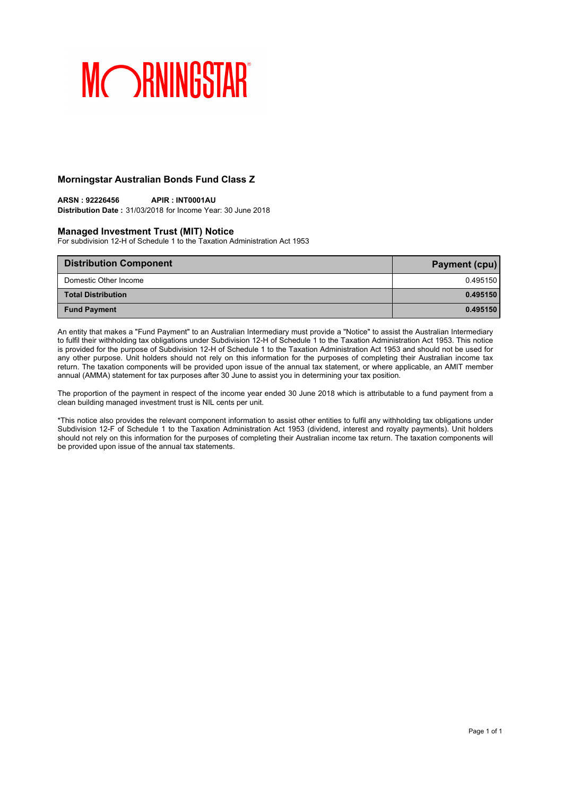### **Morningstar Australian Bonds Fund Class Z**

## **ARSN : 92226456 APIR : INT0001AU**

**Distribution Date :** 31/03/2018 for Income Year: 30 June 2018

#### **Managed Investment Trust (MIT) Notice**

For subdivision 12-H of Schedule 1 to the Taxation Administration Act 1953

| <b>Distribution Component</b> | <b>Payment (cpu)</b> |
|-------------------------------|----------------------|
| Domestic Other Income         | 0.495150             |
| <b>Total Distribution</b>     | 0.495150             |
| <b>Fund Payment</b>           | 0.495150             |

An entity that makes a "Fund Payment" to an Australian Intermediary must provide a "Notice" to assist the Australian Intermediary to fulfil their withholding tax obligations under Subdivision 12-H of Schedule 1 to the Taxation Administration Act 1953. This notice is provided for the purpose of Subdivision 12-H of Schedule 1 to the Taxation Administration Act 1953 and should not be used for any other purpose. Unit holders should not rely on this information for the purposes of completing their Australian income tax return. The taxation components will be provided upon issue of the annual tax statement, or where applicable, an AMIT member annual (AMMA) statement for tax purposes after 30 June to assist you in determining your tax position.

The proportion of the payment in respect of the income year ended 30 June 2018 which is attributable to a fund payment from a clean building managed investment trust is NIL cents per unit.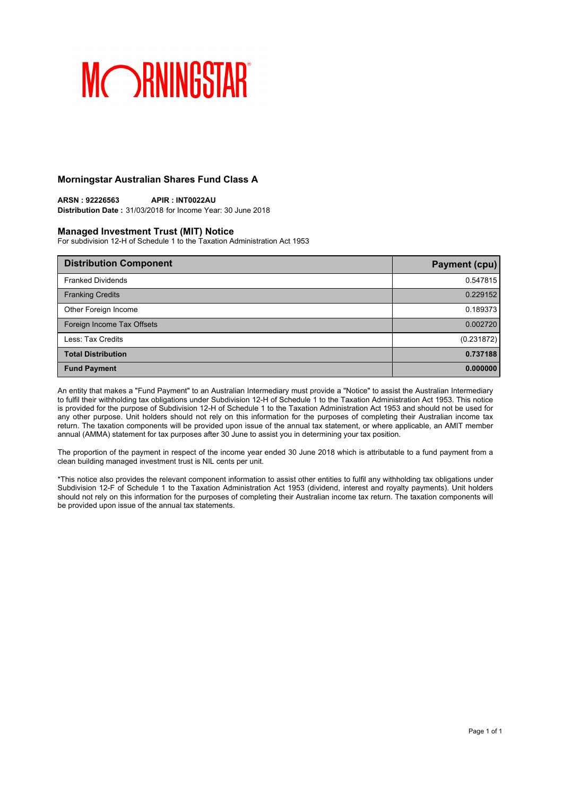### **Morningstar Australian Shares Fund Class A**

**ARSN : 92226563 APIR : INT0022AU Distribution Date :** 31/03/2018 for Income Year: 30 June 2018

### **Managed Investment Trust (MIT) Notice**

For subdivision 12-H of Schedule 1 to the Taxation Administration Act 1953

| <b>Distribution Component</b> | Payment (cpu) |
|-------------------------------|---------------|
| <b>Franked Dividends</b>      | 0.547815      |
| <b>Franking Credits</b>       | 0.229152      |
| Other Foreign Income          | 0.189373      |
| Foreign Income Tax Offsets    | 0.002720      |
| Less: Tax Credits             | (0.231872)    |
| <b>Total Distribution</b>     | 0.737188      |
| <b>Fund Payment</b>           | 0.000000      |

An entity that makes a "Fund Payment" to an Australian Intermediary must provide a "Notice" to assist the Australian Intermediary to fulfil their withholding tax obligations under Subdivision 12-H of Schedule 1 to the Taxation Administration Act 1953. This notice is provided for the purpose of Subdivision 12-H of Schedule 1 to the Taxation Administration Act 1953 and should not be used for any other purpose. Unit holders should not rely on this information for the purposes of completing their Australian income tax return. The taxation components will be provided upon issue of the annual tax statement, or where applicable, an AMIT member annual (AMMA) statement for tax purposes after 30 June to assist you in determining your tax position.

The proportion of the payment in respect of the income year ended 30 June 2018 which is attributable to a fund payment from a clean building managed investment trust is NIL cents per unit.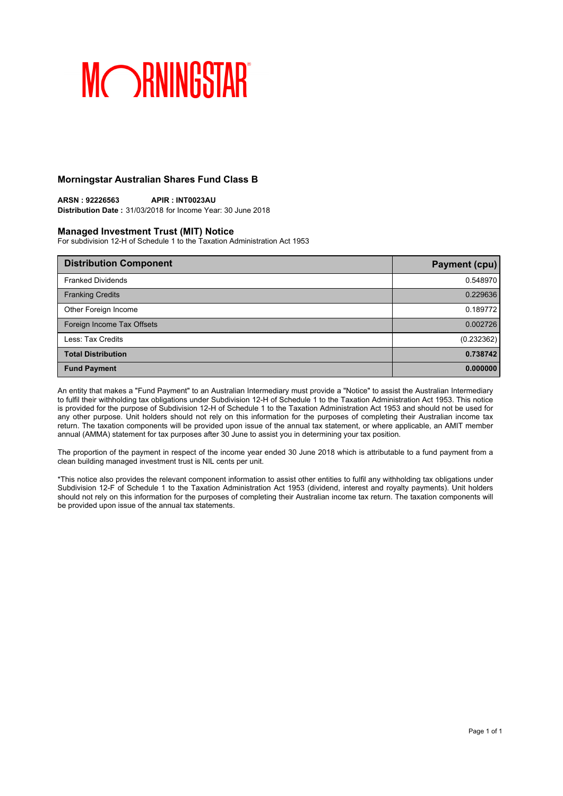### **Morningstar Australian Shares Fund Class B**

**ARSN : 92226563 APIR : INT0023AU Distribution Date :** 31/03/2018 for Income Year: 30 June 2018

### **Managed Investment Trust (MIT) Notice**

For subdivision 12-H of Schedule 1 to the Taxation Administration Act 1953

| <b>Distribution Component</b> | Payment (cpu) |
|-------------------------------|---------------|
| <b>Franked Dividends</b>      | 0.548970      |
| <b>Franking Credits</b>       | 0.229636      |
| Other Foreign Income          | 0.189772      |
| Foreign Income Tax Offsets    | 0.002726      |
| Less: Tax Credits             | (0.232362)    |
| <b>Total Distribution</b>     | 0.738742      |
| <b>Fund Payment</b>           | 0.000000      |

An entity that makes a "Fund Payment" to an Australian Intermediary must provide a "Notice" to assist the Australian Intermediary to fulfil their withholding tax obligations under Subdivision 12-H of Schedule 1 to the Taxation Administration Act 1953. This notice is provided for the purpose of Subdivision 12-H of Schedule 1 to the Taxation Administration Act 1953 and should not be used for any other purpose. Unit holders should not rely on this information for the purposes of completing their Australian income tax return. The taxation components will be provided upon issue of the annual tax statement, or where applicable, an AMIT member annual (AMMA) statement for tax purposes after 30 June to assist you in determining your tax position.

The proportion of the payment in respect of the income year ended 30 June 2018 which is attributable to a fund payment from a clean building managed investment trust is NIL cents per unit.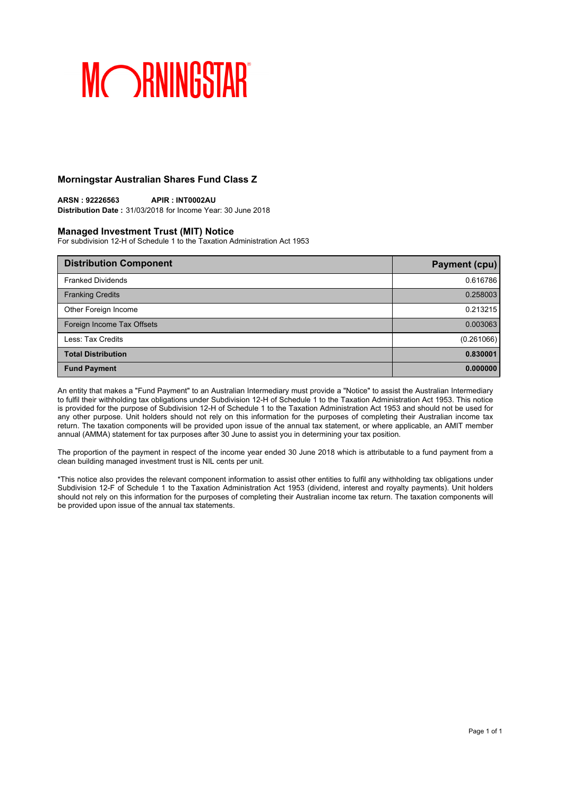### **Morningstar Australian Shares Fund Class Z**

**ARSN : 92226563 APIR : INT0002AU Distribution Date :** 31/03/2018 for Income Year: 30 June 2018

### **Managed Investment Trust (MIT) Notice**

For subdivision 12-H of Schedule 1 to the Taxation Administration Act 1953

| <b>Distribution Component</b> | Payment (cpu) |
|-------------------------------|---------------|
| <b>Franked Dividends</b>      | 0.616786      |
| <b>Franking Credits</b>       | 0.258003      |
| Other Foreign Income          | 0.213215      |
| Foreign Income Tax Offsets    | 0.003063      |
| Less: Tax Credits             | (0.261066)    |
| <b>Total Distribution</b>     | 0.830001      |
| <b>Fund Payment</b>           | 0.000000      |

An entity that makes a "Fund Payment" to an Australian Intermediary must provide a "Notice" to assist the Australian Intermediary to fulfil their withholding tax obligations under Subdivision 12-H of Schedule 1 to the Taxation Administration Act 1953. This notice is provided for the purpose of Subdivision 12-H of Schedule 1 to the Taxation Administration Act 1953 and should not be used for any other purpose. Unit holders should not rely on this information for the purposes of completing their Australian income tax return. The taxation components will be provided upon issue of the annual tax statement, or where applicable, an AMIT member annual (AMMA) statement for tax purposes after 30 June to assist you in determining your tax position.

The proportion of the payment in respect of the income year ended 30 June 2018 which is attributable to a fund payment from a clean building managed investment trust is NIL cents per unit.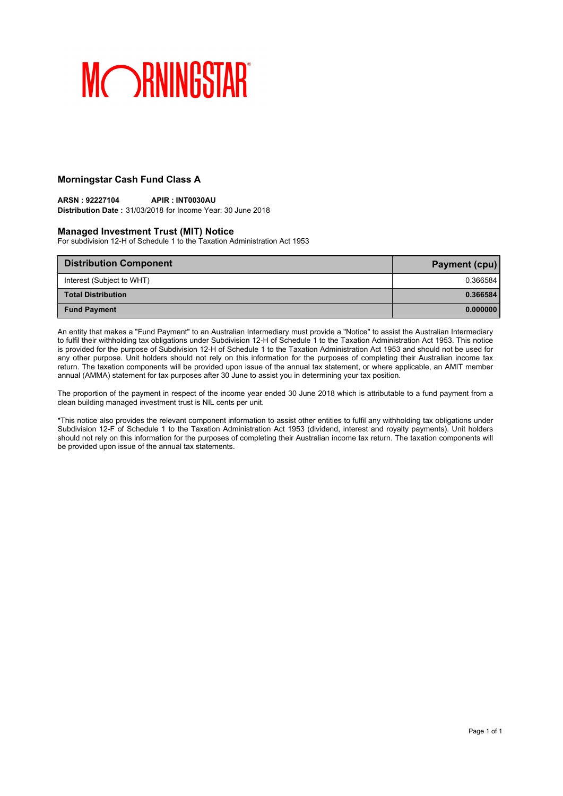## **Morningstar Cash Fund Class A**

#### **ARSN : 92227104 APIR : INT0030AU Distribution Date :** 31/03/2018 for Income Year: 30 June 2018

### **Managed Investment Trust (MIT) Notice**

For subdivision 12-H of Schedule 1 to the Taxation Administration Act 1953

| <b>Distribution Component</b> | Payment (cpu) |
|-------------------------------|---------------|
| Interest (Subject to WHT)     | 0.366584      |
| <b>Total Distribution</b>     | 0.366584      |
| <b>Fund Payment</b>           | 0.000000      |

An entity that makes a "Fund Payment" to an Australian Intermediary must provide a "Notice" to assist the Australian Intermediary to fulfil their withholding tax obligations under Subdivision 12-H of Schedule 1 to the Taxation Administration Act 1953. This notice is provided for the purpose of Subdivision 12-H of Schedule 1 to the Taxation Administration Act 1953 and should not be used for any other purpose. Unit holders should not rely on this information for the purposes of completing their Australian income tax return. The taxation components will be provided upon issue of the annual tax statement, or where applicable, an AMIT member annual (AMMA) statement for tax purposes after 30 June to assist you in determining your tax position.

The proportion of the payment in respect of the income year ended 30 June 2018 which is attributable to a fund payment from a clean building managed investment trust is NIL cents per unit.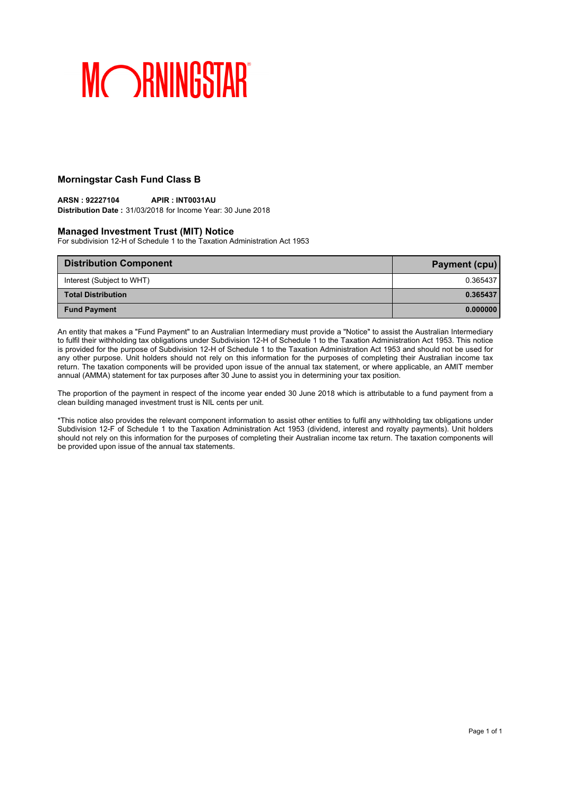## **Morningstar Cash Fund Class B**

#### **ARSN : 92227104 APIR : INT0031AU Distribution Date :** 31/03/2018 for Income Year: 30 June 2018

#### **Managed Investment Trust (MIT) Notice**

For subdivision 12-H of Schedule 1 to the Taxation Administration Act 1953

| <b>Distribution Component</b> | Payment (cpu) |
|-------------------------------|---------------|
| Interest (Subject to WHT)     | 0.365437      |
| <b>Total Distribution</b>     | 0.365437      |
| <b>Fund Payment</b>           | 0.000000      |

An entity that makes a "Fund Payment" to an Australian Intermediary must provide a "Notice" to assist the Australian Intermediary to fulfil their withholding tax obligations under Subdivision 12-H of Schedule 1 to the Taxation Administration Act 1953. This notice is provided for the purpose of Subdivision 12-H of Schedule 1 to the Taxation Administration Act 1953 and should not be used for any other purpose. Unit holders should not rely on this information for the purposes of completing their Australian income tax return. The taxation components will be provided upon issue of the annual tax statement, or where applicable, an AMIT member annual (AMMA) statement for tax purposes after 30 June to assist you in determining your tax position.

The proportion of the payment in respect of the income year ended 30 June 2018 which is attributable to a fund payment from a clean building managed investment trust is NIL cents per unit.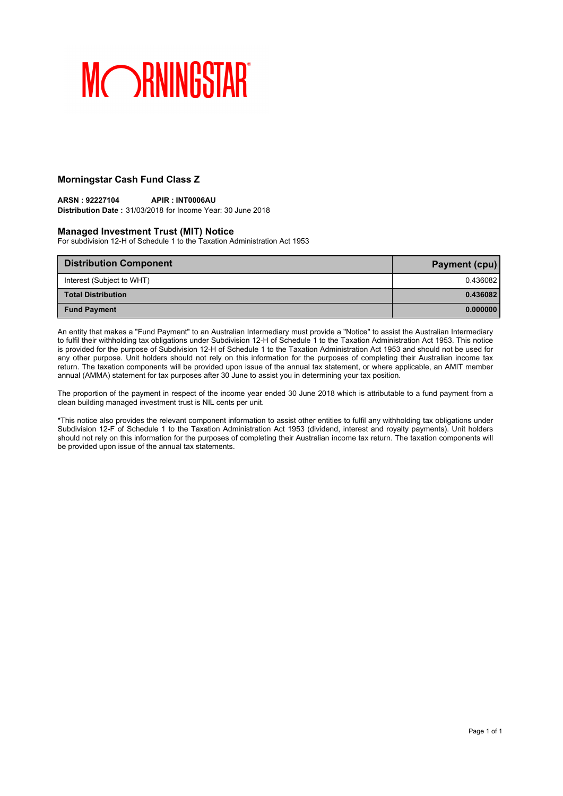## **Morningstar Cash Fund Class Z**

#### **ARSN : 92227104 APIR : INT0006AU Distribution Date :** 31/03/2018 for Income Year: 30 June 2018

### **Managed Investment Trust (MIT) Notice**

For subdivision 12-H of Schedule 1 to the Taxation Administration Act 1953

| <b>Distribution Component</b> | <b>Payment (cpu)</b> |
|-------------------------------|----------------------|
| Interest (Subject to WHT)     | 0.436082             |
| <b>Total Distribution</b>     | 0.436082             |
| <b>Fund Payment</b>           | 0.000000             |

An entity that makes a "Fund Payment" to an Australian Intermediary must provide a "Notice" to assist the Australian Intermediary to fulfil their withholding tax obligations under Subdivision 12-H of Schedule 1 to the Taxation Administration Act 1953. This notice is provided for the purpose of Subdivision 12-H of Schedule 1 to the Taxation Administration Act 1953 and should not be used for any other purpose. Unit holders should not rely on this information for the purposes of completing their Australian income tax return. The taxation components will be provided upon issue of the annual tax statement, or where applicable, an AMIT member annual (AMMA) statement for tax purposes after 30 June to assist you in determining your tax position.

The proportion of the payment in respect of the income year ended 30 June 2018 which is attributable to a fund payment from a clean building managed investment trust is NIL cents per unit.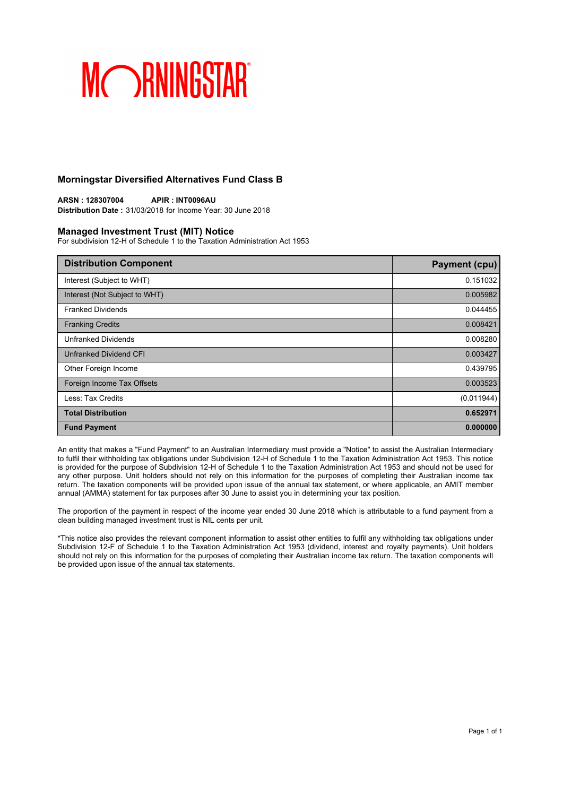### **Morningstar Diversified Alternatives Fund Class B**

**ARSN : 128307004 APIR : INT0096AU Distribution Date :** 31/03/2018 for Income Year: 30 June 2018

#### **Managed Investment Trust (MIT) Notice**

For subdivision 12-H of Schedule 1 to the Taxation Administration Act 1953

| <b>Distribution Component</b> | <b>Payment (cpu)</b> |
|-------------------------------|----------------------|
| Interest (Subject to WHT)     | 0.151032             |
| Interest (Not Subject to WHT) | 0.005982             |
| <b>Franked Dividends</b>      | 0.044455             |
| <b>Franking Credits</b>       | 0.008421             |
| <b>Unfranked Dividends</b>    | 0.008280             |
| Unfranked Dividend CFI        | 0.003427             |
| Other Foreign Income          | 0.439795             |
| Foreign Income Tax Offsets    | 0.003523             |
| Less: Tax Credits             | (0.011944)           |
| <b>Total Distribution</b>     | 0.652971             |
| <b>Fund Payment</b>           | 0.000000             |

An entity that makes a "Fund Payment" to an Australian Intermediary must provide a "Notice" to assist the Australian Intermediary to fulfil their withholding tax obligations under Subdivision 12-H of Schedule 1 to the Taxation Administration Act 1953. This notice is provided for the purpose of Subdivision 12-H of Schedule 1 to the Taxation Administration Act 1953 and should not be used for any other purpose. Unit holders should not rely on this information for the purposes of completing their Australian income tax return. The taxation components will be provided upon issue of the annual tax statement, or where applicable, an AMIT member annual (AMMA) statement for tax purposes after 30 June to assist you in determining your tax position.

The proportion of the payment in respect of the income year ended 30 June 2018 which is attributable to a fund payment from a clean building managed investment trust is NIL cents per unit.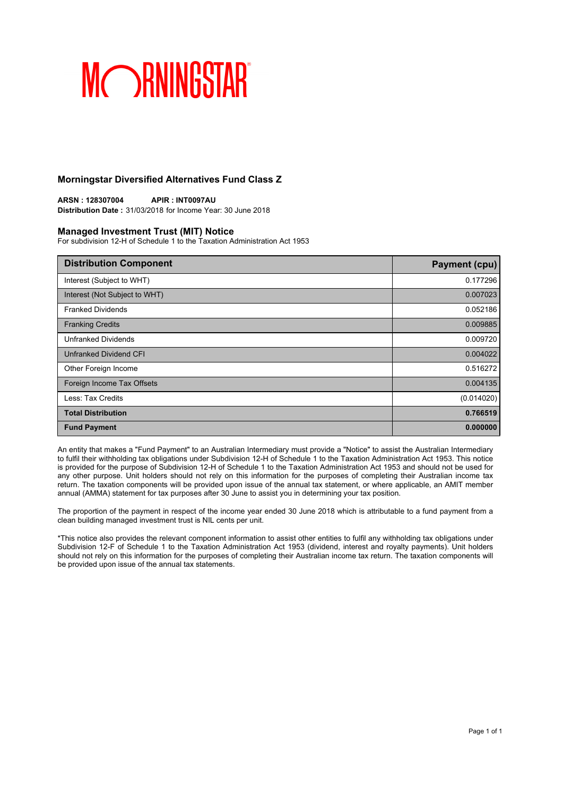### **Morningstar Diversified Alternatives Fund Class Z**

**ARSN : 128307004 APIR : INT0097AU Distribution Date :** 31/03/2018 for Income Year: 30 June 2018

### **Managed Investment Trust (MIT) Notice**

For subdivision 12-H of Schedule 1 to the Taxation Administration Act 1953

| <b>Distribution Component</b> | <b>Payment (cpu)</b> |
|-------------------------------|----------------------|
| Interest (Subject to WHT)     | 0.177296             |
| Interest (Not Subject to WHT) | 0.007023             |
| <b>Franked Dividends</b>      | 0.052186             |
| <b>Franking Credits</b>       | 0.009885             |
| <b>Unfranked Dividends</b>    | 0.009720             |
| Unfranked Dividend CFI        | 0.004022             |
| Other Foreign Income          | 0.516272             |
| Foreign Income Tax Offsets    | 0.004135             |
| Less: Tax Credits             | (0.014020)           |
| <b>Total Distribution</b>     | 0.766519             |
| <b>Fund Payment</b>           | 0.000000             |

An entity that makes a "Fund Payment" to an Australian Intermediary must provide a "Notice" to assist the Australian Intermediary to fulfil their withholding tax obligations under Subdivision 12-H of Schedule 1 to the Taxation Administration Act 1953. This notice is provided for the purpose of Subdivision 12-H of Schedule 1 to the Taxation Administration Act 1953 and should not be used for any other purpose. Unit holders should not rely on this information for the purposes of completing their Australian income tax return. The taxation components will be provided upon issue of the annual tax statement, or where applicable, an AMIT member annual (AMMA) statement for tax purposes after 30 June to assist you in determining your tax position.

The proportion of the payment in respect of the income year ended 30 June 2018 which is attributable to a fund payment from a clean building managed investment trust is NIL cents per unit.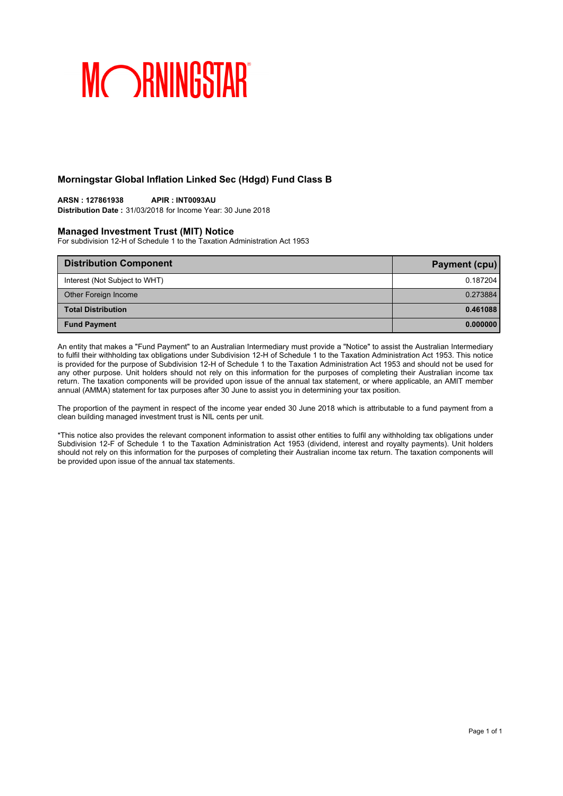## **Morningstar Global Inflation Linked Sec (Hdgd) Fund Class B**

#### **ARSN : 127861938 APIR : INT0093AU**

**Distribution Date :** 31/03/2018 for Income Year: 30 June 2018

#### **Managed Investment Trust (MIT) Notice**

For subdivision 12-H of Schedule 1 to the Taxation Administration Act 1953

| <b>Distribution Component</b> | Payment (cpu) |
|-------------------------------|---------------|
| Interest (Not Subject to WHT) | 0.187204      |
| Other Foreign Income          | 0.273884      |
| <b>Total Distribution</b>     | 0.461088      |
| <b>Fund Payment</b>           | 0.000000      |

An entity that makes a "Fund Payment" to an Australian Intermediary must provide a "Notice" to assist the Australian Intermediary to fulfil their withholding tax obligations under Subdivision 12-H of Schedule 1 to the Taxation Administration Act 1953. This notice is provided for the purpose of Subdivision 12-H of Schedule 1 to the Taxation Administration Act 1953 and should not be used for any other purpose. Unit holders should not rely on this information for the purposes of completing their Australian income tax return. The taxation components will be provided upon issue of the annual tax statement, or where applicable, an AMIT member annual (AMMA) statement for tax purposes after 30 June to assist you in determining your tax position.

The proportion of the payment in respect of the income year ended 30 June 2018 which is attributable to a fund payment from a clean building managed investment trust is NIL cents per unit.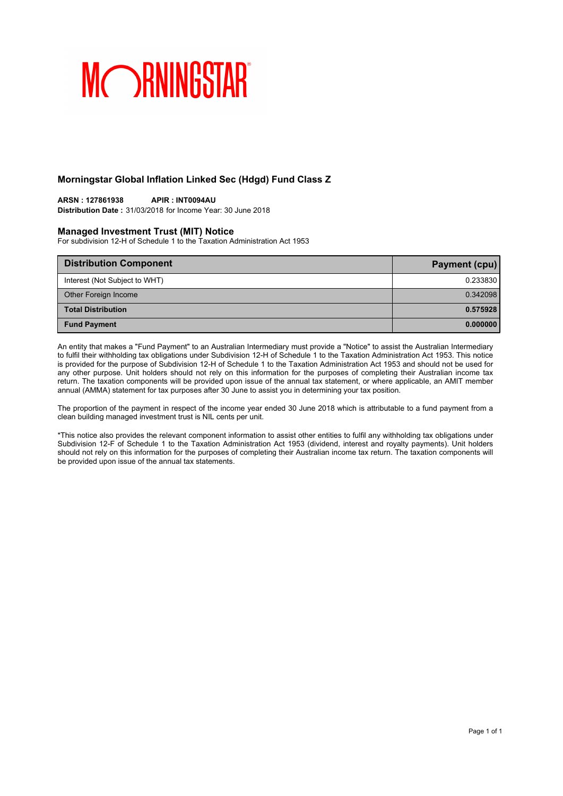## **Morningstar Global Inflation Linked Sec (Hdgd) Fund Class Z**

#### **ARSN : 127861938 APIR : INT0094AU**

**Distribution Date :** 31/03/2018 for Income Year: 30 June 2018

#### **Managed Investment Trust (MIT) Notice**

For subdivision 12-H of Schedule 1 to the Taxation Administration Act 1953

| <b>Distribution Component</b> | Payment (cpu) |
|-------------------------------|---------------|
| Interest (Not Subject to WHT) | 0.233830      |
| Other Foreign Income          | 0.342098      |
| <b>Total Distribution</b>     | 0.575928      |
| <b>Fund Payment</b>           | 0.000000      |

An entity that makes a "Fund Payment" to an Australian Intermediary must provide a "Notice" to assist the Australian Intermediary to fulfil their withholding tax obligations under Subdivision 12-H of Schedule 1 to the Taxation Administration Act 1953. This notice is provided for the purpose of Subdivision 12-H of Schedule 1 to the Taxation Administration Act 1953 and should not be used for any other purpose. Unit holders should not rely on this information for the purposes of completing their Australian income tax return. The taxation components will be provided upon issue of the annual tax statement, or where applicable, an AMIT member annual (AMMA) statement for tax purposes after 30 June to assist you in determining your tax position.

The proportion of the payment in respect of the income year ended 30 June 2018 which is attributable to a fund payment from a clean building managed investment trust is NIL cents per unit.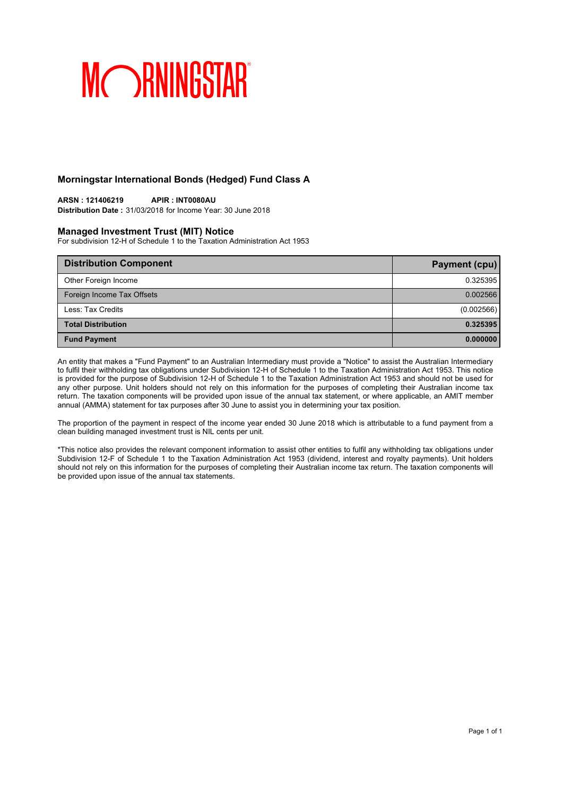## **Morningstar International Bonds (Hedged) Fund Class A**

## **ARSN : 121406219 APIR : INT0080AU**

**Distribution Date :** 31/03/2018 for Income Year: 30 June 2018

#### **Managed Investment Trust (MIT) Notice**

For subdivision 12-H of Schedule 1 to the Taxation Administration Act 1953

| <b>Distribution Component</b> | Payment (cpu) |
|-------------------------------|---------------|
| Other Foreign Income          | 0.325395      |
| Foreign Income Tax Offsets    | 0.002566      |
| Less: Tax Credits             | (0.002566)    |
| <b>Total Distribution</b>     | 0.325395      |
| <b>Fund Payment</b>           | 0.000000      |

An entity that makes a "Fund Payment" to an Australian Intermediary must provide a "Notice" to assist the Australian Intermediary to fulfil their withholding tax obligations under Subdivision 12-H of Schedule 1 to the Taxation Administration Act 1953. This notice is provided for the purpose of Subdivision 12-H of Schedule 1 to the Taxation Administration Act 1953 and should not be used for any other purpose. Unit holders should not rely on this information for the purposes of completing their Australian income tax return. The taxation components will be provided upon issue of the annual tax statement, or where applicable, an AMIT member annual (AMMA) statement for tax purposes after 30 June to assist you in determining your tax position.

The proportion of the payment in respect of the income year ended 30 June 2018 which is attributable to a fund payment from a clean building managed investment trust is NIL cents per unit.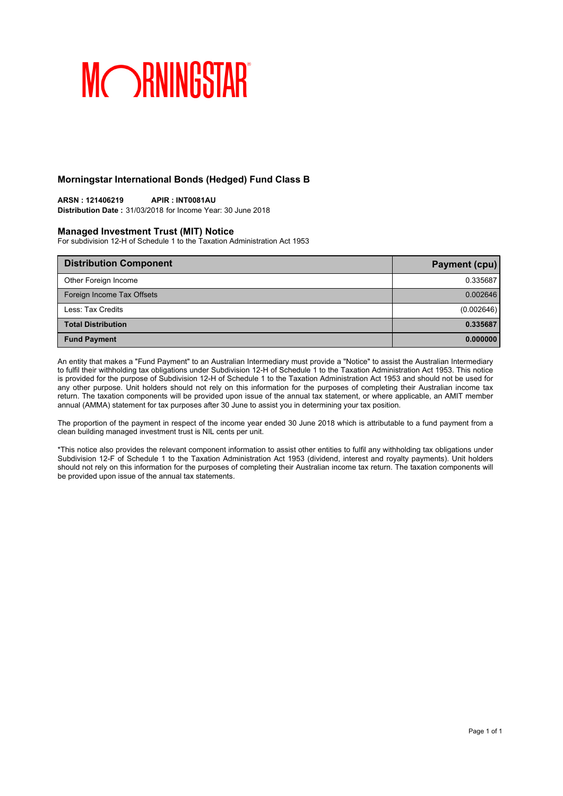### **Morningstar International Bonds (Hedged) Fund Class B**

## **ARSN : 121406219 APIR : INT0081AU**

**Distribution Date :** 31/03/2018 for Income Year: 30 June 2018

#### **Managed Investment Trust (MIT) Notice**

For subdivision 12-H of Schedule 1 to the Taxation Administration Act 1953

| <b>Distribution Component</b> | Payment (cpu) |
|-------------------------------|---------------|
| Other Foreign Income          | 0.335687      |
| Foreign Income Tax Offsets    | 0.002646      |
| Less: Tax Credits             | (0.002646)    |
| <b>Total Distribution</b>     | 0.335687      |
| <b>Fund Payment</b>           | 0.000000      |

An entity that makes a "Fund Payment" to an Australian Intermediary must provide a "Notice" to assist the Australian Intermediary to fulfil their withholding tax obligations under Subdivision 12-H of Schedule 1 to the Taxation Administration Act 1953. This notice is provided for the purpose of Subdivision 12-H of Schedule 1 to the Taxation Administration Act 1953 and should not be used for any other purpose. Unit holders should not rely on this information for the purposes of completing their Australian income tax return. The taxation components will be provided upon issue of the annual tax statement, or where applicable, an AMIT member annual (AMMA) statement for tax purposes after 30 June to assist you in determining your tax position.

The proportion of the payment in respect of the income year ended 30 June 2018 which is attributable to a fund payment from a clean building managed investment trust is NIL cents per unit.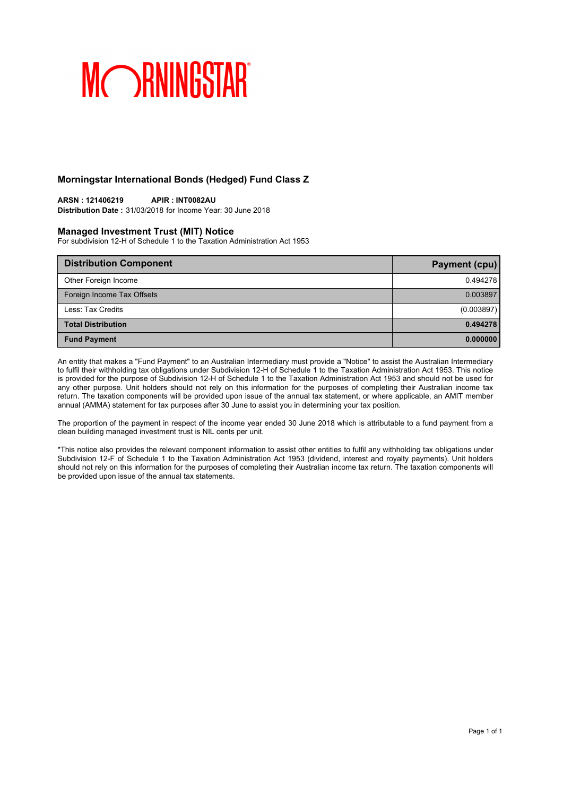## **Morningstar International Bonds (Hedged) Fund Class Z**

## **ARSN : 121406219 APIR : INT0082AU**

**Distribution Date :** 31/03/2018 for Income Year: 30 June 2018

#### **Managed Investment Trust (MIT) Notice**

For subdivision 12-H of Schedule 1 to the Taxation Administration Act 1953

| <b>Distribution Component</b> | Payment (cpu) |
|-------------------------------|---------------|
| Other Foreign Income          | 0.494278      |
| Foreign Income Tax Offsets    | 0.003897      |
| Less: Tax Credits             | (0.003897)    |
| <b>Total Distribution</b>     | 0.494278      |
| <b>Fund Payment</b>           | 0.000000      |

An entity that makes a "Fund Payment" to an Australian Intermediary must provide a "Notice" to assist the Australian Intermediary to fulfil their withholding tax obligations under Subdivision 12-H of Schedule 1 to the Taxation Administration Act 1953. This notice is provided for the purpose of Subdivision 12-H of Schedule 1 to the Taxation Administration Act 1953 and should not be used for any other purpose. Unit holders should not rely on this information for the purposes of completing their Australian income tax return. The taxation components will be provided upon issue of the annual tax statement, or where applicable, an AMIT member annual (AMMA) statement for tax purposes after 30 June to assist you in determining your tax position.

The proportion of the payment in respect of the income year ended 30 June 2018 which is attributable to a fund payment from a clean building managed investment trust is NIL cents per unit.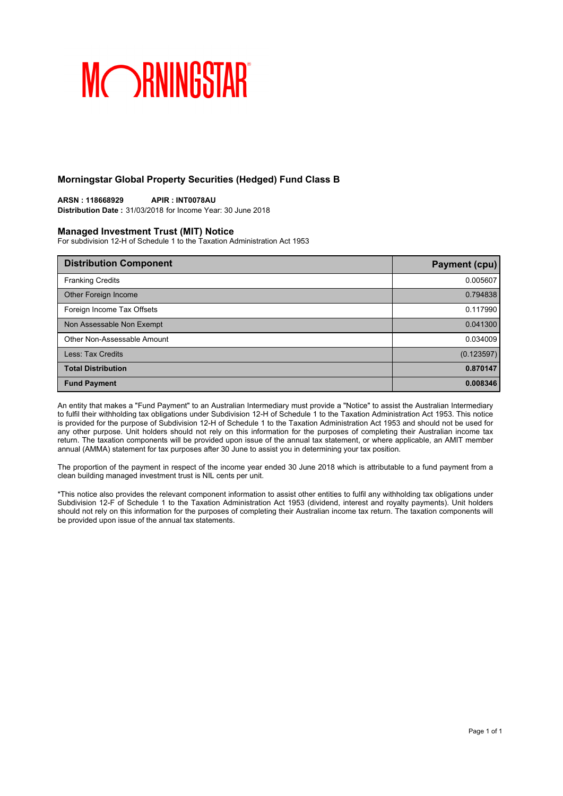### **Morningstar Global Property Securities (Hedged) Fund Class B**

**ARSN : 118668929 APIR : INT0078AU Distribution Date :** 31/03/2018 for Income Year: 30 June 2018

### **Managed Investment Trust (MIT) Notice**

For subdivision 12-H of Schedule 1 to the Taxation Administration Act 1953

| <b>Distribution Component</b> | Payment (cpu) |
|-------------------------------|---------------|
| <b>Franking Credits</b>       | 0.005607      |
| Other Foreign Income          | 0.794838      |
| Foreign Income Tax Offsets    | 0.117990      |
| Non Assessable Non Exempt     | 0.041300      |
| Other Non-Assessable Amount   | 0.034009      |
| Less: Tax Credits             | (0.123597)    |
| <b>Total Distribution</b>     | 0.870147      |
| <b>Fund Payment</b>           | 0.008346      |

An entity that makes a "Fund Payment" to an Australian Intermediary must provide a "Notice" to assist the Australian Intermediary to fulfil their withholding tax obligations under Subdivision 12-H of Schedule 1 to the Taxation Administration Act 1953. This notice is provided for the purpose of Subdivision 12-H of Schedule 1 to the Taxation Administration Act 1953 and should not be used for any other purpose. Unit holders should not rely on this information for the purposes of completing their Australian income tax return. The taxation components will be provided upon issue of the annual tax statement, or where applicable, an AMIT member annual (AMMA) statement for tax purposes after 30 June to assist you in determining your tax position.

The proportion of the payment in respect of the income year ended 30 June 2018 which is attributable to a fund payment from a clean building managed investment trust is NIL cents per unit.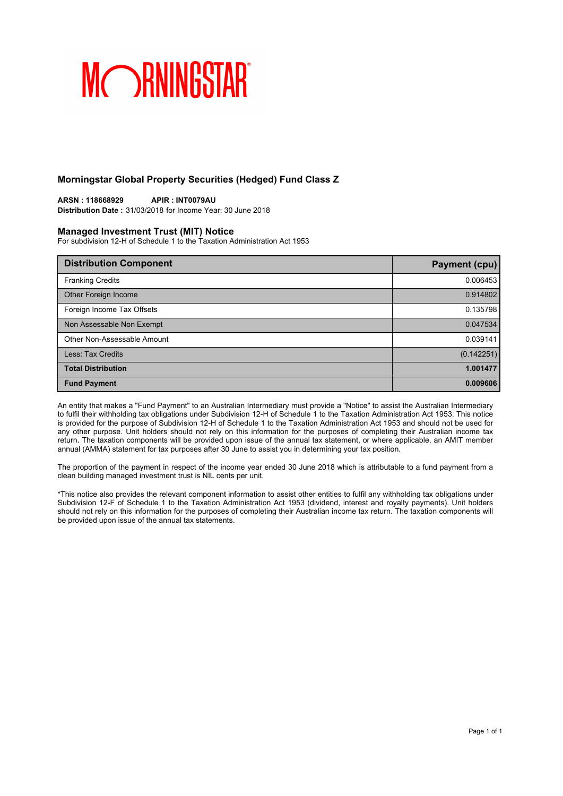### **Morningstar Global Property Securities (Hedged) Fund Class Z**

**ARSN : 118668929 APIR : INT0079AU Distribution Date :** 31/03/2018 for Income Year: 30 June 2018

### **Managed Investment Trust (MIT) Notice**

For subdivision 12-H of Schedule 1 to the Taxation Administration Act 1953

| <b>Distribution Component</b> | <b>Payment (cpu)</b> |
|-------------------------------|----------------------|
| <b>Franking Credits</b>       | 0.006453             |
| Other Foreign Income          | 0.914802             |
| Foreign Income Tax Offsets    | 0.135798             |
| Non Assessable Non Exempt     | 0.047534             |
| Other Non-Assessable Amount   | 0.039141             |
| Less: Tax Credits             | (0.142251)           |
| <b>Total Distribution</b>     | 1.001477             |
| <b>Fund Payment</b>           | 0.009606             |

An entity that makes a "Fund Payment" to an Australian Intermediary must provide a "Notice" to assist the Australian Intermediary to fulfil their withholding tax obligations under Subdivision 12-H of Schedule 1 to the Taxation Administration Act 1953. This notice is provided for the purpose of Subdivision 12-H of Schedule 1 to the Taxation Administration Act 1953 and should not be used for any other purpose. Unit holders should not rely on this information for the purposes of completing their Australian income tax return. The taxation components will be provided upon issue of the annual tax statement, or where applicable, an AMIT member annual (AMMA) statement for tax purposes after 30 June to assist you in determining your tax position.

The proportion of the payment in respect of the income year ended 30 June 2018 which is attributable to a fund payment from a clean building managed investment trust is NIL cents per unit.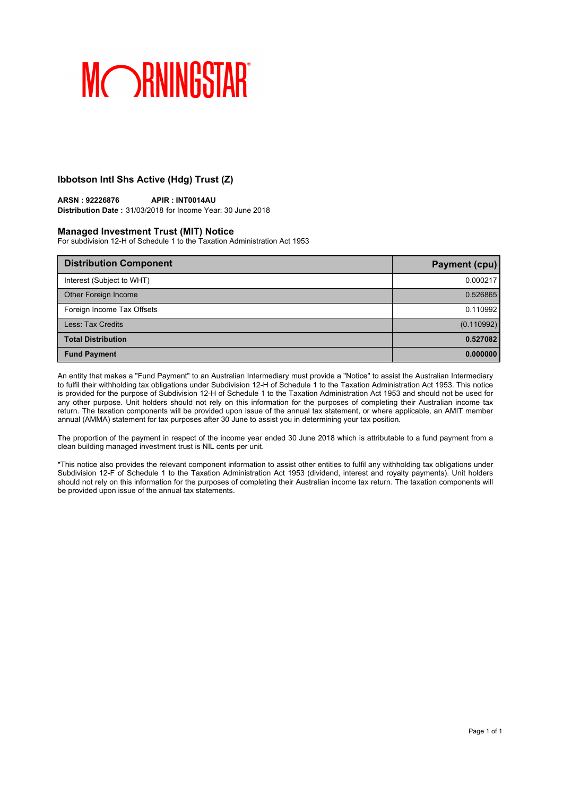## **Ibbotson Intl Shs Active (Hdg) Trust (Z)**

### **ARSN : 92226876 APIR : INT0014AU**

**Distribution Date :** 31/03/2018 for Income Year: 30 June 2018

#### **Managed Investment Trust (MIT) Notice**

For subdivision 12-H of Schedule 1 to the Taxation Administration Act 1953

| <b>Distribution Component</b> | <b>Payment (cpu)</b> |
|-------------------------------|----------------------|
| Interest (Subject to WHT)     | 0.000217             |
| Other Foreign Income          | 0.526865             |
| Foreign Income Tax Offsets    | 0.110992             |
| Less: Tax Credits             | (0.110992)           |
| <b>Total Distribution</b>     | 0.527082             |
| <b>Fund Payment</b>           | 0.000000             |

An entity that makes a "Fund Payment" to an Australian Intermediary must provide a "Notice" to assist the Australian Intermediary to fulfil their withholding tax obligations under Subdivision 12-H of Schedule 1 to the Taxation Administration Act 1953. This notice is provided for the purpose of Subdivision 12-H of Schedule 1 to the Taxation Administration Act 1953 and should not be used for any other purpose. Unit holders should not rely on this information for the purposes of completing their Australian income tax return. The taxation components will be provided upon issue of the annual tax statement, or where applicable, an AMIT member annual (AMMA) statement for tax purposes after 30 June to assist you in determining your tax position.

The proportion of the payment in respect of the income year ended 30 June 2018 which is attributable to a fund payment from a clean building managed investment trust is NIL cents per unit.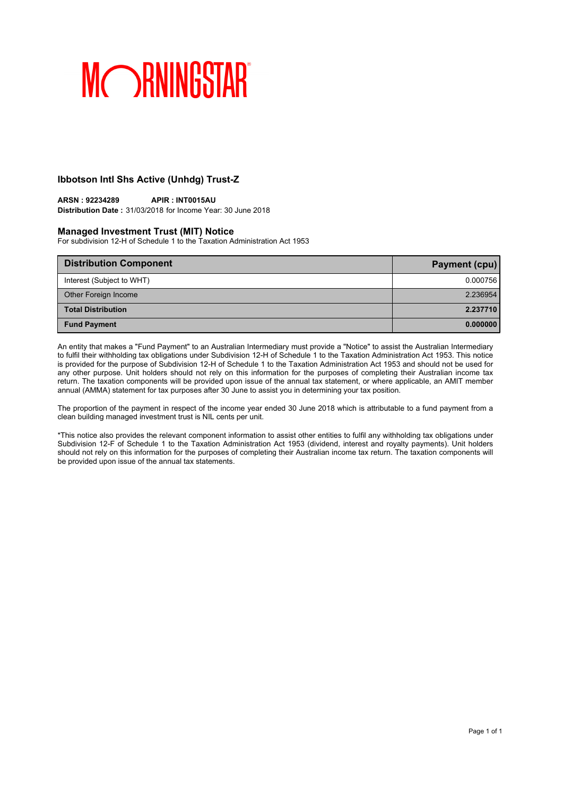## **Ibbotson Intl Shs Active (Unhdg) Trust-Z**

## **ARSN : 92234289 APIR : INT0015AU**

**Distribution Date :** 31/03/2018 for Income Year: 30 June 2018

#### **Managed Investment Trust (MIT) Notice**

For subdivision 12-H of Schedule 1 to the Taxation Administration Act 1953

| <b>Distribution Component</b> | Payment (cpu) |
|-------------------------------|---------------|
| Interest (Subject to WHT)     | 0.000756      |
| Other Foreign Income          | 2.236954      |
| <b>Total Distribution</b>     | 2.237710      |
| <b>Fund Payment</b>           | 0.000000      |

An entity that makes a "Fund Payment" to an Australian Intermediary must provide a "Notice" to assist the Australian Intermediary to fulfil their withholding tax obligations under Subdivision 12-H of Schedule 1 to the Taxation Administration Act 1953. This notice is provided for the purpose of Subdivision 12-H of Schedule 1 to the Taxation Administration Act 1953 and should not be used for any other purpose. Unit holders should not rely on this information for the purposes of completing their Australian income tax return. The taxation components will be provided upon issue of the annual tax statement, or where applicable, an AMIT member annual (AMMA) statement for tax purposes after 30 June to assist you in determining your tax position.

The proportion of the payment in respect of the income year ended 30 June 2018 which is attributable to a fund payment from a clean building managed investment trust is NIL cents per unit.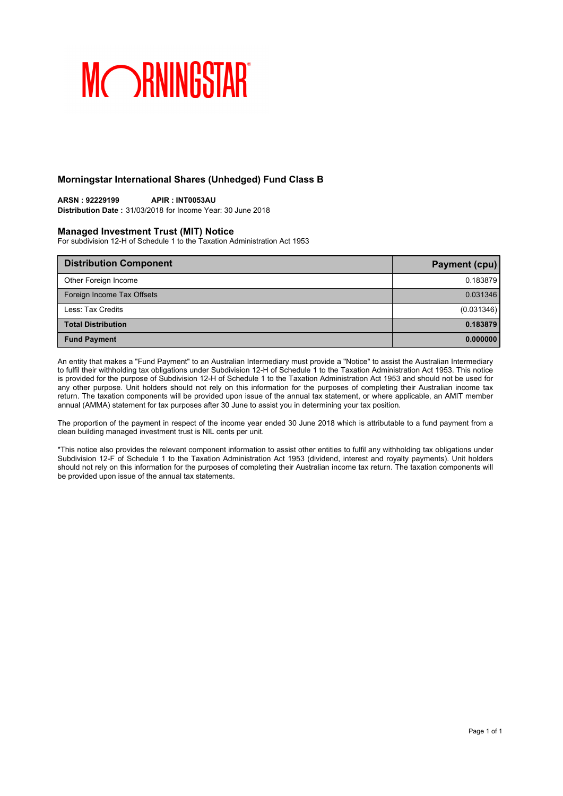### **Morningstar International Shares (Unhedged) Fund Class B**

## **ARSN : 92229199 APIR : INT0053AU**

**Distribution Date :** 31/03/2018 for Income Year: 30 June 2018

#### **Managed Investment Trust (MIT) Notice**

For subdivision 12-H of Schedule 1 to the Taxation Administration Act 1953

| <b>Distribution Component</b> | Payment (cpu) |
|-------------------------------|---------------|
| Other Foreign Income          | 0.183879      |
| Foreign Income Tax Offsets    | 0.031346      |
| Less: Tax Credits             | (0.031346)    |
| <b>Total Distribution</b>     | 0.183879      |
| <b>Fund Payment</b>           | 0.000000      |

An entity that makes a "Fund Payment" to an Australian Intermediary must provide a "Notice" to assist the Australian Intermediary to fulfil their withholding tax obligations under Subdivision 12-H of Schedule 1 to the Taxation Administration Act 1953. This notice is provided for the purpose of Subdivision 12-H of Schedule 1 to the Taxation Administration Act 1953 and should not be used for any other purpose. Unit holders should not rely on this information for the purposes of completing their Australian income tax return. The taxation components will be provided upon issue of the annual tax statement, or where applicable, an AMIT member annual (AMMA) statement for tax purposes after 30 June to assist you in determining your tax position.

The proportion of the payment in respect of the income year ended 30 June 2018 which is attributable to a fund payment from a clean building managed investment trust is NIL cents per unit.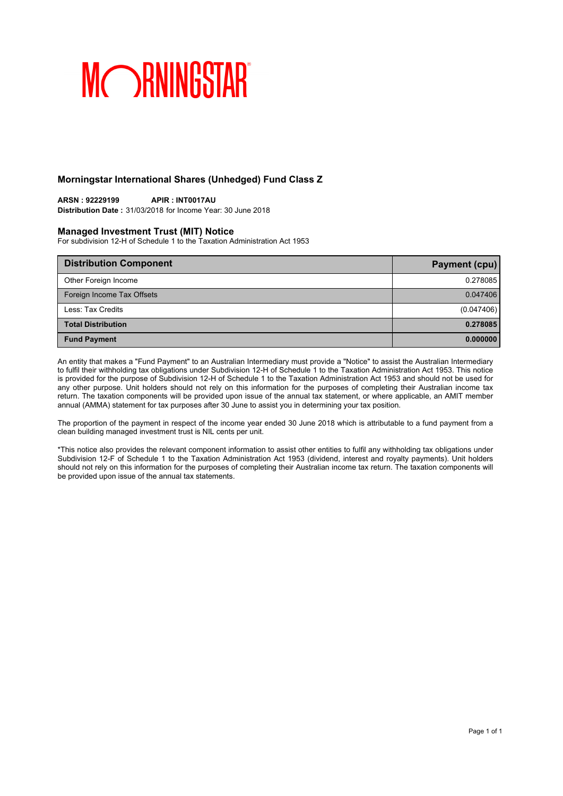### **Morningstar International Shares (Unhedged) Fund Class Z**

## **ARSN : 92229199 APIR : INT0017AU**

**Distribution Date :** 31/03/2018 for Income Year: 30 June 2018

### **Managed Investment Trust (MIT) Notice**

For subdivision 12-H of Schedule 1 to the Taxation Administration Act 1953

| <b>Distribution Component</b> | Payment (cpu) |
|-------------------------------|---------------|
| Other Foreign Income          | 0.278085      |
| Foreign Income Tax Offsets    | 0.047406      |
| Less: Tax Credits             | (0.047406)    |
| <b>Total Distribution</b>     | 0.278085      |
| <b>Fund Payment</b>           | 0.000000      |

An entity that makes a "Fund Payment" to an Australian Intermediary must provide a "Notice" to assist the Australian Intermediary to fulfil their withholding tax obligations under Subdivision 12-H of Schedule 1 to the Taxation Administration Act 1953. This notice is provided for the purpose of Subdivision 12-H of Schedule 1 to the Taxation Administration Act 1953 and should not be used for any other purpose. Unit holders should not rely on this information for the purposes of completing their Australian income tax return. The taxation components will be provided upon issue of the annual tax statement, or where applicable, an AMIT member annual (AMMA) statement for tax purposes after 30 June to assist you in determining your tax position.

The proportion of the payment in respect of the income year ended 30 June 2018 which is attributable to a fund payment from a clean building managed investment trust is NIL cents per unit.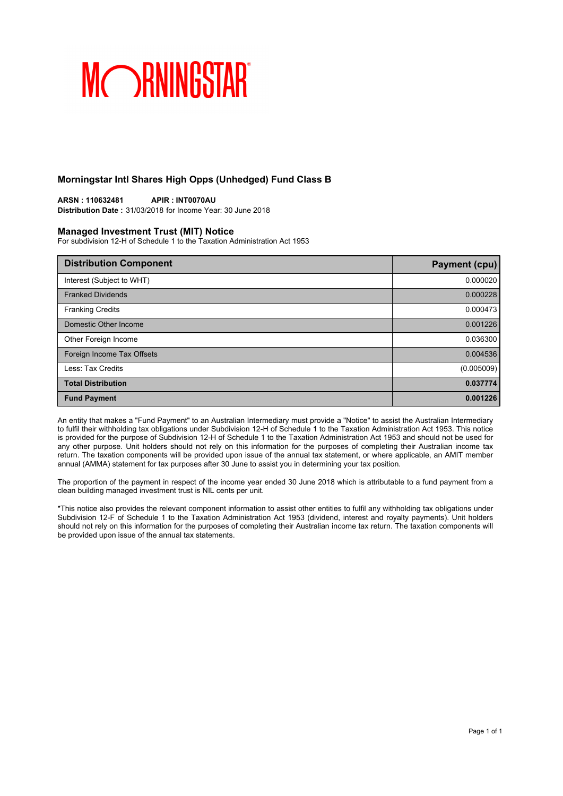### **Morningstar Intl Shares High Opps (Unhedged) Fund Class B**

**ARSN : 110632481 APIR : INT0070AU Distribution Date :** 31/03/2018 for Income Year: 30 June 2018

#### **Managed Investment Trust (MIT) Notice**

For subdivision 12-H of Schedule 1 to the Taxation Administration Act 1953

| <b>Distribution Component</b> | <b>Payment (cpu)</b> |
|-------------------------------|----------------------|
| Interest (Subject to WHT)     | 0.000020             |
| <b>Franked Dividends</b>      | 0.000228             |
| <b>Franking Credits</b>       | 0.000473             |
| Domestic Other Income         | 0.001226             |
| Other Foreign Income          | 0.036300             |
| Foreign Income Tax Offsets    | 0.004536             |
| Less: Tax Credits             | (0.005009)           |
| <b>Total Distribution</b>     | 0.037774             |
| <b>Fund Payment</b>           | 0.001226             |

An entity that makes a "Fund Payment" to an Australian Intermediary must provide a "Notice" to assist the Australian Intermediary to fulfil their withholding tax obligations under Subdivision 12-H of Schedule 1 to the Taxation Administration Act 1953. This notice is provided for the purpose of Subdivision 12-H of Schedule 1 to the Taxation Administration Act 1953 and should not be used for any other purpose. Unit holders should not rely on this information for the purposes of completing their Australian income tax return. The taxation components will be provided upon issue of the annual tax statement, or where applicable, an AMIT member annual (AMMA) statement for tax purposes after 30 June to assist you in determining your tax position.

The proportion of the payment in respect of the income year ended 30 June 2018 which is attributable to a fund payment from a clean building managed investment trust is NIL cents per unit.